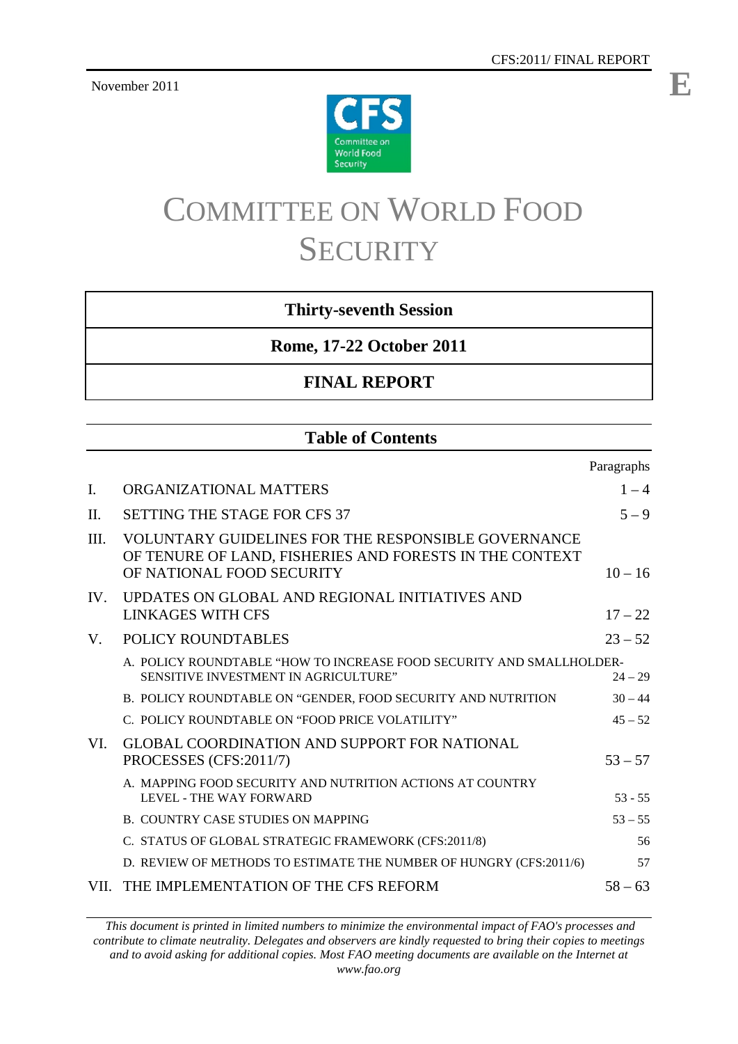November 2011



# COMMITTEE ON WORLD FOOD **SECURITY**

### **Thirty-seventh Session**

**Rome, 17-22 October 2011**

### **FINAL REPORT**

### **Table of Contents**

|      |                                                                                                                                                    | Paragraphs |
|------|----------------------------------------------------------------------------------------------------------------------------------------------------|------------|
| L    | ORGANIZATIONAL MATTERS                                                                                                                             | $1 - 4$    |
| II.  | <b>SETTING THE STAGE FOR CFS 37</b>                                                                                                                | $5 - 9$    |
| III. | <b>VOLUNTARY GUIDELINES FOR THE RESPONSIBLE GOVERNANCE</b><br>OF TENURE OF LAND, FISHERIES AND FORESTS IN THE CONTEXT<br>OF NATIONAL FOOD SECURITY | $10 - 16$  |
| IV.  | UPDATES ON GLOBAL AND REGIONAL INITIATIVES AND<br><b>LINKAGES WITH CFS</b>                                                                         | $17 - 22$  |
| V.   | POLICY ROUNDTABLES                                                                                                                                 | $23 - 52$  |
|      | A. POLICY ROUNDTABLE "HOW TO INCREASE FOOD SECURITY AND SMALLHOLDER-<br>SENSITIVE INVESTMENT IN AGRICULTURE"                                       | $24 - 29$  |
|      | B. POLICY ROUNDTABLE ON "GENDER, FOOD SECURITY AND NUTRITION                                                                                       | $30 - 44$  |
|      | C. POLICY ROUNDTABLE ON "FOOD PRICE VOLATILITY"                                                                                                    | $45 - 52$  |
| VI.  | <b>GLOBAL COORDINATION AND SUPPORT FOR NATIONAL</b><br>PROCESSES (CFS:2011/7)                                                                      | $53 - 57$  |
|      | A. MAPPING FOOD SECURITY AND NUTRITION ACTIONS AT COUNTRY<br>LEVEL - THE WAY FORWARD                                                               | $53 - 55$  |
|      | <b>B. COUNTRY CASE STUDIES ON MAPPING</b>                                                                                                          | $53 - 55$  |
|      | C. STATUS OF GLOBAL STRATEGIC FRAMEWORK (CFS:2011/8)                                                                                               | 56         |
|      | D. REVIEW OF METHODS TO ESTIMATE THE NUMBER OF HUNGRY (CFS:2011/6)                                                                                 | 57         |
| VII. | THE IMPLEMENTATION OF THE CFS REFORM                                                                                                               | $58 - 63$  |

*This document is printed in limited numbers to minimize the environmental impact of FAO's processes and contribute to climate neutrality. Delegates and observers are kindly requested to bring their copies to meetings and to avoid asking for additional copies. Most FAO meeting documents are available on the Internet at www.fao.org*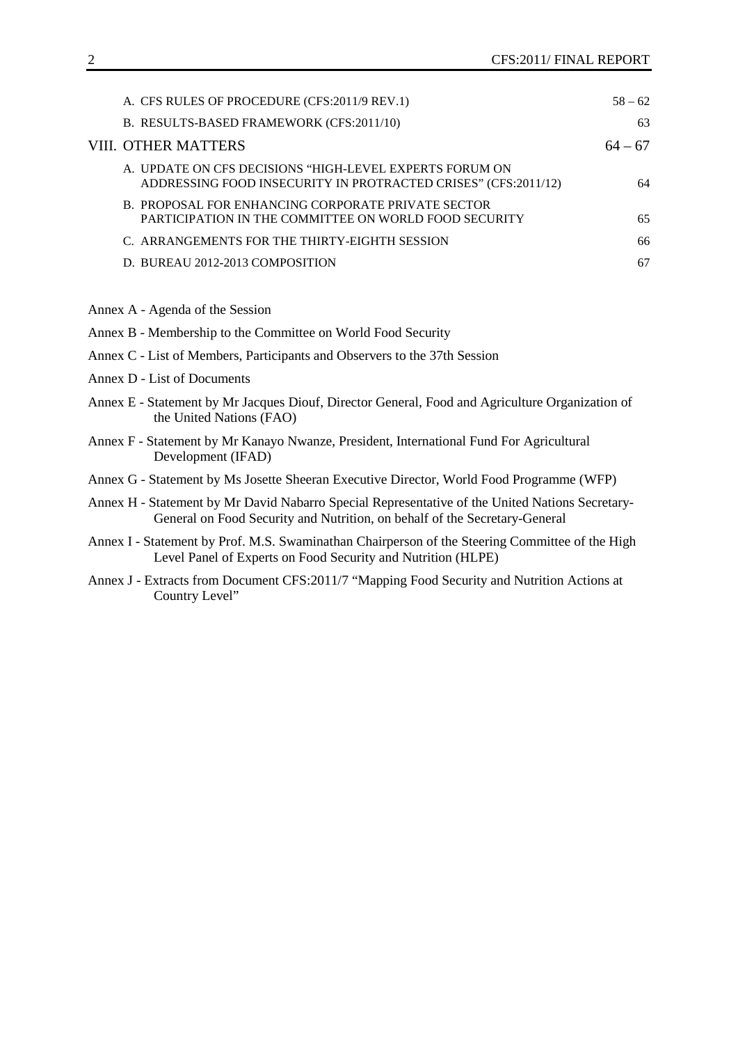| A. CFS RULES OF PROCEDURE (CFS:2011/9 REV.1)                                                                              | $58 - 62$ |
|---------------------------------------------------------------------------------------------------------------------------|-----------|
| B. RESULTS-BASED FRAMEWORK (CFS:2011/10)                                                                                  | 63        |
| VIII. OTHER MATTERS                                                                                                       | $64 - 67$ |
| A. UPDATE ON CFS DECISIONS "HIGH-LEVEL EXPERTS FORUM ON<br>ADDRESSING FOOD INSECURITY IN PROTRACTED CRISES" (CFS:2011/12) | 64        |
| B. PROPOSAL FOR ENHANCING CORPORATE PRIVATE SECTOR<br>PARTICIPATION IN THE COMMITTEE ON WORLD FOOD SECURITY               | 65        |
| C. ARRANGEMENTS FOR THE THIRTY-EIGHTH SESSION                                                                             | 66        |
| D. BUREAU 2012-2013 COMPOSITION                                                                                           | 67        |
|                                                                                                                           |           |

Annex A - Agenda of the Session

| Annex B - Membership to the Committee on World Food Security                                                                |
|-----------------------------------------------------------------------------------------------------------------------------|
| Annex C - List of Members, Participants and Observers to the 37th Session                                                   |
| Annex D - List of Documents                                                                                                 |
| Annex E - Statement by Mr Jacques Diouf, Director General, Food and Agriculture Organization of<br>the United Nations (FAO) |

- Annex F Statement by Mr Kanayo Nwanze, President, International Fund For Agricultural Development (IFAD)
- Annex G Statement by Ms Josette Sheeran Executive Director, World Food Programme (WFP)
- Annex H Statement by Mr David Nabarro Special Representative of the United Nations Secretary-General on Food Security and Nutrition, on behalf of the Secretary-General
- Annex I Statement by Prof. M.S. Swaminathan Chairperson of the Steering Committee of the High Level Panel of Experts on Food Security and Nutrition (HLPE)
- Annex J Extracts from Document CFS:2011/7 "Mapping Food Security and Nutrition Actions at Country Level"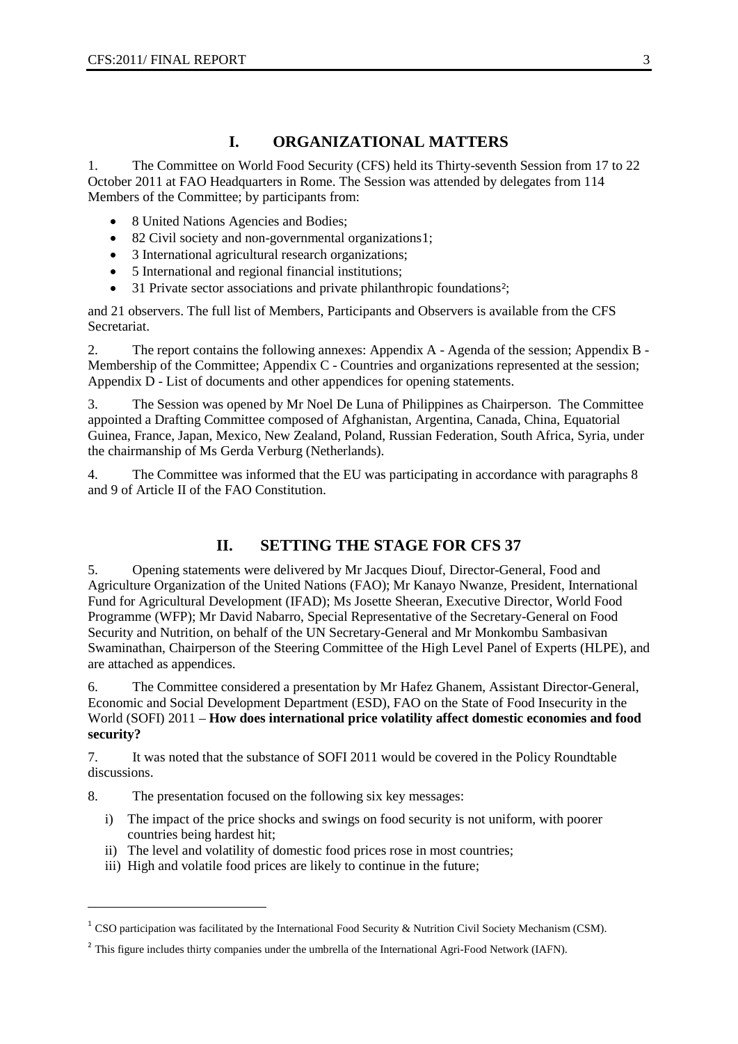### **I. ORGANIZATIONAL MATTERS**

1. The Committee on World Food Security (CFS) held its Thirty-seventh Session from 17 to 22 October 2011 at FAO Headquarters in Rome. The Session was attended by delegates from 114 Members of the Committee; by participants from:

- 8 United Nations Agencies and Bodies;
- 82 Civil society and non-governmental organizations[1](#page-5-0);
- 3 International agricultural research organizations;
- 5 International and regional financial institutions;
- 31 Private sector associations and private philanthropic foundations<sup>[2](#page-2-0)</sup>;

and 21 observers. The full list of Members, Participants and Observers is available from the CFS Secretariat.

2. The report contains the following annexes: Appendix A - Agenda of the session; Appendix B - Membership of the Committee; Appendix C - Countries and organizations represented at the session; Appendix D - List of documents and other appendices for opening statements.

3. The Session was opened by Mr Noel De Luna of Philippines as Chairperson. The Committee appointed a Drafting Committee composed of Afghanistan, Argentina, Canada, China, Equatorial Guinea, France, Japan, Mexico, New Zealand, Poland, Russian Federation, South Africa, Syria, under the chairmanship of Ms Gerda Verburg (Netherlands).

4. The Committee was informed that the EU was participating in accordance with paragraphs 8 and 9 of Article II of the FAO Constitution.

### **II. SETTING THE STAGE FOR CFS 37**

5. Opening statements were delivered by Mr Jacques Diouf, Director-General, Food and Agriculture Organization of the United Nations (FAO); Mr Kanayo Nwanze, President, International Fund for Agricultural Development (IFAD); Ms Josette Sheeran, Executive Director, World Food Programme (WFP); Mr David Nabarro, Special Representative of the Secretary-General on Food Security and Nutrition, on behalf of the UN Secretary-General and Mr Monkombu Sambasivan Swaminathan, Chairperson of the Steering Committee of the High Level Panel of Experts (HLPE), and are attached as appendices.

6. The Committee considered a presentation by Mr Hafez Ghanem, Assistant Director-General, Economic and Social Development Department (ESD), FAO on the State of Food Insecurity in the World (SOFI) 2011 – **How does international price volatility affect domestic economies and food security?**

7. It was noted that the substance of SOFI 2011 would be covered in the Policy Roundtable discussions.

8. The presentation focused on the following six key messages:

-

- i) The impact of the price shocks and swings on food security is not uniform, with poorer countries being hardest hit;
- ii) The level and volatility of domestic food prices rose in most countries;
- iii) High and volatile food prices are likely to continue in the future;

<sup>&</sup>lt;sup>1</sup> CSO participation was facilitated by the International Food Security & Nutrition Civil Society Mechanism (CSM).

<span id="page-2-1"></span><span id="page-2-0"></span><sup>&</sup>lt;sup>2</sup> This figure includes thirty companies under the umbrella of the International Agri-Food Network (IAFN).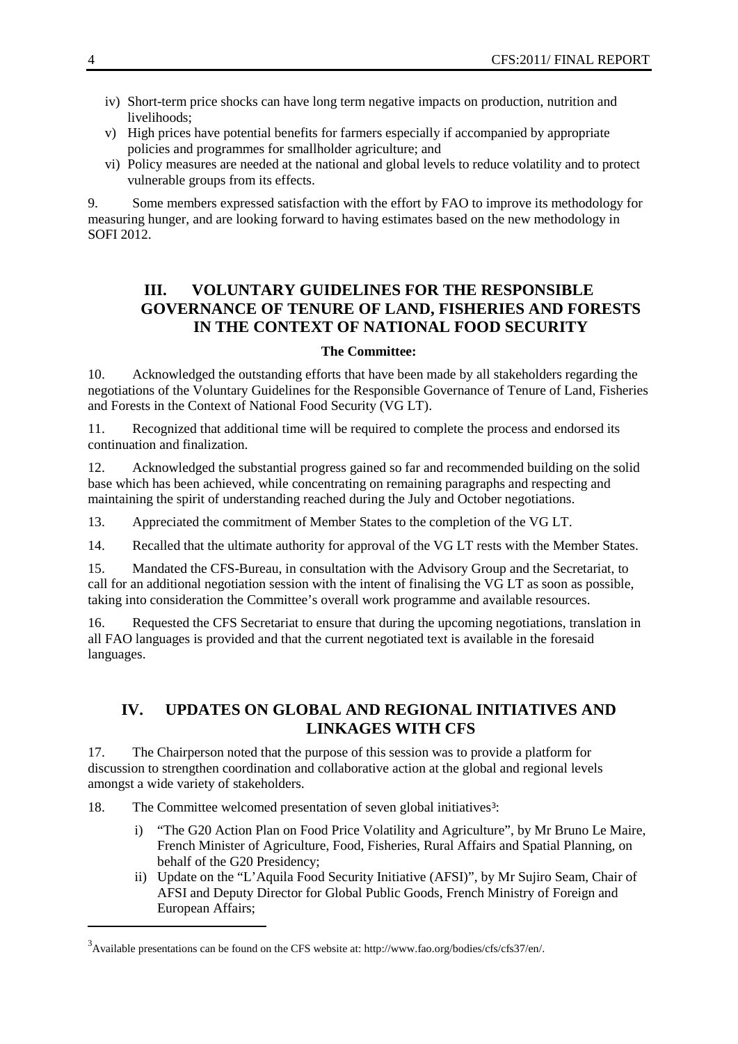- iv) Short-term price shocks can have long term negative impacts on production, nutrition and livelihoods;
- v) High prices have potential benefits for farmers especially if accompanied by appropriate policies and programmes for smallholder agriculture; and
- vi) Policy measures are needed at the national and global levels to reduce volatility and to protect vulnerable groups from its effects.

9. Some members expressed satisfaction with the effort by FAO to improve its methodology for measuring hunger, and are looking forward to having estimates based on the new methodology in SOFI 2012.

### **III. VOLUNTARY GUIDELINES FOR THE RESPONSIBLE GOVERNANCE OF TENURE OF LAND, FISHERIES AND FORESTS IN THE CONTEXT OF NATIONAL FOOD SECURITY**

#### **The Committee:**

10. Acknowledged the outstanding efforts that have been made by all stakeholders regarding the negotiations of the Voluntary Guidelines for the Responsible Governance of Tenure of Land, Fisheries and Forests in the Context of National Food Security (VG LT).

11. Recognized that additional time will be required to complete the process and endorsed its continuation and finalization.

12. Acknowledged the substantial progress gained so far and recommended building on the solid base which has been achieved, while concentrating on remaining paragraphs and respecting and maintaining the spirit of understanding reached during the July and October negotiations.

13. Appreciated the commitment of Member States to the completion of the VG LT.

14. Recalled that the ultimate authority for approval of the VG LT rests with the Member States.

15. Mandated the CFS-Bureau, in consultation with the Advisory Group and the Secretariat, to call for an additional negotiation session with the intent of finalising the VG LT as soon as possible, taking into consideration the Committee's overall work programme and available resources.

16. Requested the CFS Secretariat to ensure that during the upcoming negotiations, translation in all FAO languages is provided and that the current negotiated text is available in the foresaid languages.

### **IV. UPDATES ON GLOBAL AND REGIONAL INITIATIVES AND LINKAGES WITH CFS**

17. The Chairperson noted that the purpose of this session was to provide a platform for discussion to strengthen coordination and collaborative action at the global and regional levels amongst a wide variety of stakeholders.

18. The Committee welcomed presentation of seven global initiatives<sup>[3](#page-2-1)</sup>:

- i) "The G20 Action Plan on Food Price Volatility and Agriculture", by Mr Bruno Le Maire, French Minister of Agriculture, Food, Fisheries, Rural Affairs and Spatial Planning, on behalf of the G20 Presidency;
- ii) Update on the "L'Aquila Food Security Initiative (AFSI)", by Mr Sujiro Seam, Chair of AFSI and Deputy Director for Global Public Goods, French Ministry of Foreign and European Affairs;

-

<span id="page-3-0"></span><sup>&</sup>lt;sup>3</sup> Available presentations can be found on the CFS website at: http://www.fao.org/bodies/cfs/cfs37/en/.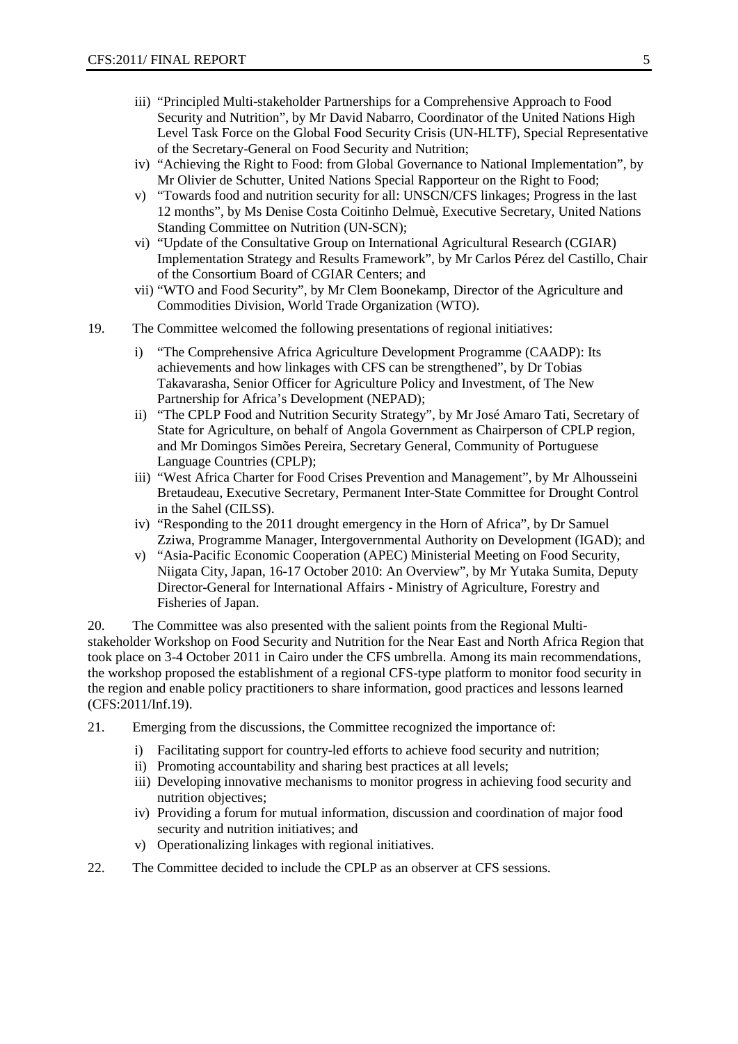- iii) "Principled Multi-stakeholder Partnerships for a Comprehensive Approach to Food Security and Nutrition", by Mr David Nabarro, Coordinator of the United Nations High Level Task Force on the Global Food Security Crisis (UN-HLTF), Special Representative of the Secretary-General on Food Security and Nutrition;
- iv) "Achieving the Right to Food: from Global Governance to National Implementation", by Mr Olivier de Schutter, United Nations Special Rapporteur on the Right to Food;
- v) "Towards food and nutrition security for all: UNSCN/CFS linkages; Progress in the last 12 months", by Ms Denise Costa Coitinho Delmuè, Executive Secretary, United Nations Standing Committee on Nutrition (UN-SCN);
- vi) "Update of the Consultative Group on International Agricultural Research (CGIAR) Implementation Strategy and Results Framework", by Mr Carlos Pérez del Castillo, Chair of the Consortium Board of CGIAR Centers; and
- vii) "WTO and Food Security", by Mr Clem Boonekamp, Director of the Agriculture and Commodities Division, World Trade Organization (WTO).
- 19. The Committee welcomed the following presentations of regional initiatives:
	- i) "The Comprehensive Africa Agriculture Development Programme (CAADP): Its achievements and how linkages with CFS can be strengthened", by Dr Tobias Takavarasha, Senior Officer for Agriculture Policy and Investment, of The New Partnership for Africa's Development (NEPAD);
	- ii) "The CPLP Food and Nutrition Security Strategy", by Mr José Amaro Tati, Secretary of State for Agriculture, on behalf of Angola Government as Chairperson of CPLP region, and Mr Domingos Simões Pereira, Secretary General, Community of Portuguese Language Countries (CPLP);
	- iii) "West Africa Charter for Food Crises Prevention and Management", by Mr Alhousseini Bretaudeau, Executive Secretary, Permanent Inter-State Committee for Drought Control in the Sahel (CILSS).
	- iv) "Responding to the 2011 drought emergency in the Horn of Africa", by Dr Samuel Zziwa, Programme Manager, Intergovernmental Authority on Development (IGAD); and
	- v) "Asia-Pacific Economic Cooperation (APEC) Ministerial Meeting on Food Security, Niigata City, Japan, 16-17 October 2010: An Overview", by Mr Yutaka Sumita, Deputy Director-General for International Affairs - Ministry of Agriculture, Forestry and Fisheries of Japan.

20. The Committee was also presented with the salient points from the Regional Multistakeholder Workshop on Food Security and Nutrition for the Near East and North Africa Region that took place on 3-4 October 2011 in Cairo under the CFS umbrella. Among its main recommendations, the workshop proposed the establishment of a regional CFS-type platform to monitor food security in the region and enable policy practitioners to share information, good practices and lessons learned (CFS:2011/Inf.19).

- 21. Emerging from the discussions, the Committee recognized the importance of:
	- i) Facilitating support for country-led efforts to achieve food security and nutrition;
	- ii) Promoting accountability and sharing best practices at all levels;
	- iii) Developing innovative mechanisms to monitor progress in achieving food security and nutrition objectives;
	- iv) Providing a forum for mutual information, discussion and coordination of major food security and nutrition initiatives; and
	- v) Operationalizing linkages with regional initiatives.
- 22. The Committee decided to include the CPLP as an observer at CFS sessions.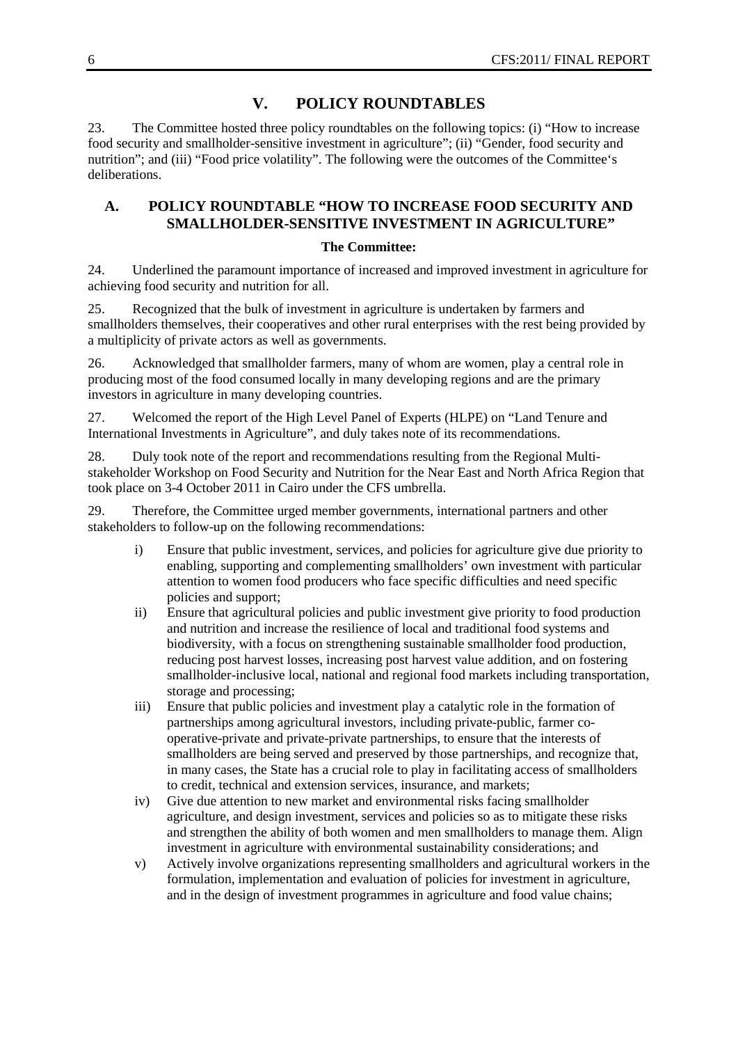### **V. POLICY ROUNDTABLES**

23. The Committee hosted three policy roundtables on the following topics: (i) "How to increase food security and smallholder-sensitive investment in agriculture"; (ii) "Gender, food security and nutrition"; and (iii) "Food price volatility". The following were the outcomes of the Committee's deliberations.

### **A. POLICY ROUNDTABLE "HOW TO INCREASE FOOD SECURITY AND SMALLHOLDER-SENSITIVE INVESTMENT IN AGRICULTURE"**

#### **The Committee:**

24. Underlined the paramount importance of increased and improved investment in agriculture for achieving food security and nutrition for all.

25. Recognized that the bulk of investment in agriculture is undertaken by farmers and smallholders themselves, their cooperatives and other rural enterprises with the rest being provided by a multiplicity of private actors as well as governments.

26. Acknowledged that smallholder farmers, many of whom are women, play a central role in producing most of the food consumed locally in many developing regions and are the primary investors in agriculture in many developing countries.

27. Welcomed the report of the High Level Panel of Experts (HLPE) on "Land Tenure and International Investments in Agriculture", and duly takes note of its recommendations.

28. Duly took note of the report and recommendations resulting from the Regional Multistakeholder Workshop on Food Security and Nutrition for the Near East and North Africa Region that took place on 3-4 October 2011 in Cairo under the CFS umbrella.

29. Therefore, the Committee urged member governments, international partners and other stakeholders to follow-up on the following recommendations:

- i) Ensure that public investment, services, and policies for agriculture give due priority to enabling, supporting and complementing smallholders' own investment with particular attention to women food producers who face specific difficulties and need specific policies and support;
- ii) Ensure that agricultural policies and public investment give priority to food production and nutrition and increase the resilience of local and traditional food systems and biodiversity, with a focus on strengthening sustainable smallholder food production, reducing post harvest losses, increasing post harvest value addition, and on fostering smallholder-inclusive local, national and regional food markets including transportation, storage and processing;
- iii) Ensure that public policies and investment play a catalytic role in the formation of partnerships among agricultural investors, including private-public, farmer cooperative-private and private-private partnerships, to ensure that the interests of smallholders are being served and preserved by those partnerships, and recognize that, in many cases, the State has a crucial role to play in facilitating access of smallholders to credit, technical and extension services, insurance, and markets;
- iv) Give due attention to new market and environmental risks facing smallholder agriculture, and design investment, services and policies so as to mitigate these risks and strengthen the ability of both women and men smallholders to manage them. Align investment in agriculture with environmental sustainability considerations; and
- <span id="page-5-0"></span>v) Actively involve organizations representing smallholders and agricultural workers in the formulation, implementation and evaluation of policies for investment in agriculture, and in the design of investment programmes in agriculture and food value chains;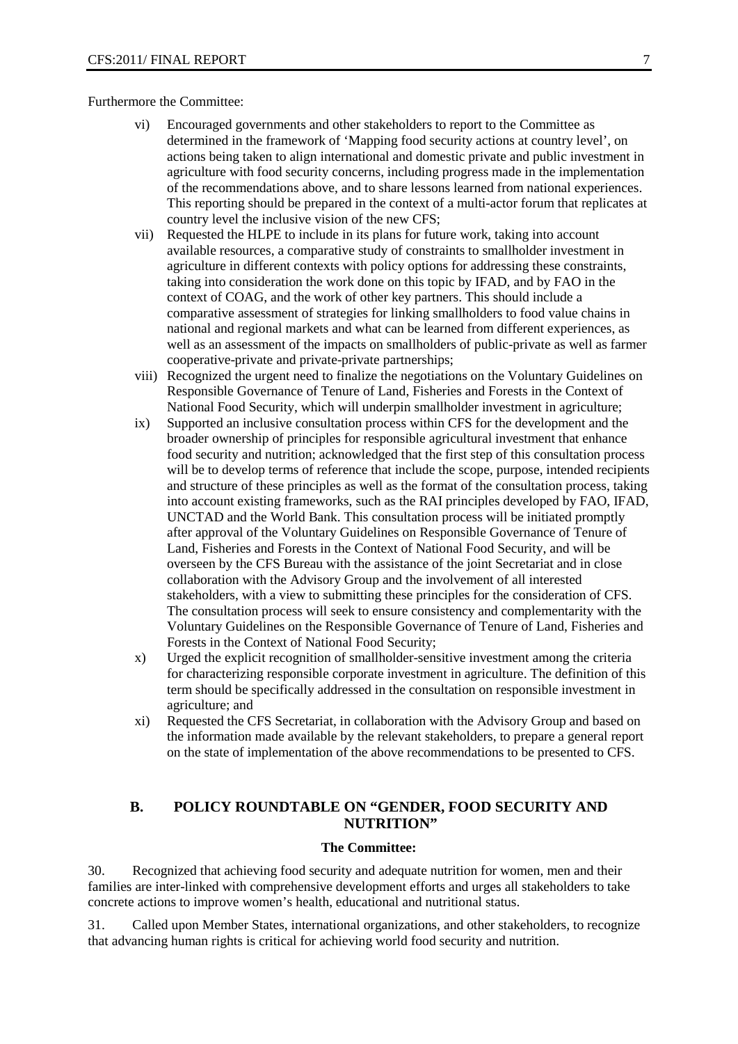#### Furthermore the Committee:

- vi) Encouraged governments and other stakeholders to report to the Committee as determined in the framework of 'Mapping food security actions at country level', on actions being taken to align international and domestic private and public investment in agriculture with food security concerns, including progress made in the implementation of the recommendations above, and to share lessons learned from national experiences. This reporting should be prepared in the context of a multi-actor forum that replicates at country level the inclusive vision of the new CFS;
- vii) Requested the HLPE to include in its plans for future work, taking into account available resources, a comparative study of constraints to smallholder investment in agriculture in different contexts with policy options for addressing these constraints, taking into consideration the work done on this topic by IFAD, and by FAO in the context of COAG, and the work of other key partners. This should include a comparative assessment of strategies for linking smallholders to food value chains in national and regional markets and what can be learned from different experiences, as well as an assessment of the impacts on smallholders of public-private as well as farmer cooperative-private and private-private partnerships;
- viii) Recognized the urgent need to finalize the negotiations on the Voluntary Guidelines on Responsible Governance of Tenure of Land, Fisheries and Forests in the Context of National Food Security, which will underpin smallholder investment in agriculture;
- ix) Supported an inclusive consultation process within CFS for the development and the broader ownership of principles for responsible agricultural investment that enhance food security and nutrition; acknowledged that the first step of this consultation process will be to develop terms of reference that include the scope, purpose, intended recipients and structure of these principles as well as the format of the consultation process, taking into account existing frameworks, such as the RAI principles developed by FAO, IFAD, UNCTAD and the World Bank. This consultation process will be initiated promptly after approval of the Voluntary Guidelines on Responsible Governance of Tenure of Land, Fisheries and Forests in the Context of National Food Security, and will be overseen by the CFS Bureau with the assistance of the joint Secretariat and in close collaboration with the Advisory Group and the involvement of all interested stakeholders, with a view to submitting these principles for the consideration of CFS. The consultation process will seek to ensure consistency and complementarity with the Voluntary Guidelines on the Responsible Governance of Tenure of Land, Fisheries and Forests in the Context of National Food Security;
- x) Urged the explicit recognition of smallholder-sensitive investment among the criteria for characterizing responsible corporate investment in agriculture. The definition of this term should be specifically addressed in the consultation on responsible investment in agriculture; and
- xi) Requested the CFS Secretariat, in collaboration with the Advisory Group and based on the information made available by the relevant stakeholders, to prepare a general report on the state of implementation of the above recommendations to be presented to CFS.

### **B. POLICY ROUNDTABLE ON "GENDER, FOOD SECURITY AND NUTRITION"**

#### **The Committee:**

30. Recognized that achieving food security and adequate nutrition for women, men and their families are inter-linked with comprehensive development efforts and urges all stakeholders to take concrete actions to improve women's health, educational and nutritional status.

31. Called upon Member States, international organizations, and other stakeholders, to recognize that advancing human rights is critical for achieving world food security and nutrition.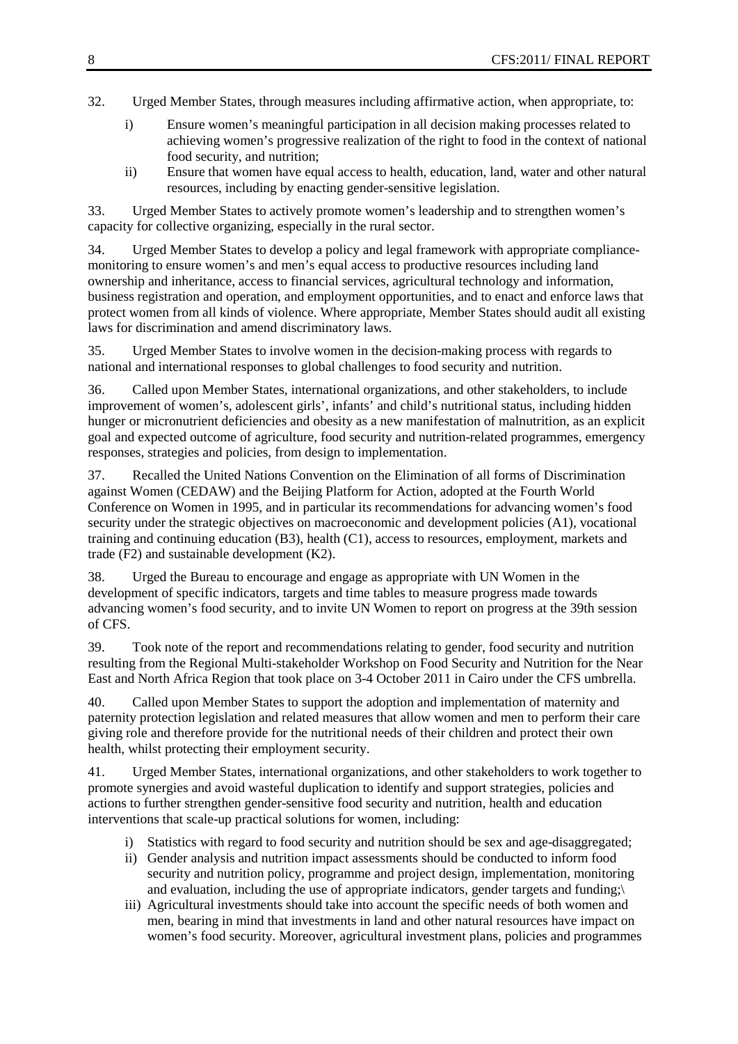- 32. Urged Member States, through measures including affirmative action, when appropriate, to:
	- i) Ensure women's meaningful participation in all decision making processes related to achieving women's progressive realization of the right to food in the context of national food security, and nutrition;
	- ii) Ensure that women have equal access to health, education, land, water and other natural resources, including by enacting gender-sensitive legislation.

33. Urged Member States to actively promote women's leadership and to strengthen women's capacity for collective organizing, especially in the rural sector.

34. Urged Member States to develop a policy and legal framework with appropriate compliancemonitoring to ensure women's and men's equal access to productive resources including land ownership and inheritance, access to financial services, agricultural technology and information, business registration and operation, and employment opportunities, and to enact and enforce laws that protect women from all kinds of violence. Where appropriate, Member States should audit all existing laws for discrimination and amend discriminatory laws.

35. Urged Member States to involve women in the decision-making process with regards to national and international responses to global challenges to food security and nutrition.

36. Called upon Member States, international organizations, and other stakeholders, to include improvement of women's, adolescent girls', infants' and child's nutritional status, including hidden hunger or micronutrient deficiencies and obesity as a new manifestation of malnutrition, as an explicit goal and expected outcome of agriculture, food security and nutrition-related programmes, emergency responses, strategies and policies, from design to implementation.

37. Recalled the United Nations Convention on the Elimination of all forms of Discrimination against Women (CEDAW) and the Beijing Platform for Action, adopted at the Fourth World Conference on Women in 1995, and in particular its recommendations for advancing women's food security under the strategic objectives on macroeconomic and development policies (A1), vocational training and continuing education (B3), health (C1), access to resources, employment, markets and trade (F2) and sustainable development (K2).

38. Urged the Bureau to encourage and engage as appropriate with UN Women in the development of specific indicators, targets and time tables to measure progress made towards advancing women's food security, and to invite UN Women to report on progress at the 39th session of CFS.

39. Took note of the report and recommendations relating to gender, food security and nutrition resulting from the Regional Multi-stakeholder Workshop on Food Security and Nutrition for the Near East and North Africa Region that took place on 3-4 October 2011 in Cairo under the CFS umbrella.

40. Called upon Member States to support the adoption and implementation of maternity and paternity protection legislation and related measures that allow women and men to perform their care giving role and therefore provide for the nutritional needs of their children and protect their own health, whilst protecting their employment security.

41. Urged Member States, international organizations, and other stakeholders to work together to promote synergies and avoid wasteful duplication to identify and support strategies, policies and actions to further strengthen gender-sensitive food security and nutrition, health and education interventions that scale-up practical solutions for women, including:

- i) Statistics with regard to food security and nutrition should be sex and age-disaggregated;
- ii) Gender analysis and nutrition impact assessments should be conducted to inform food security and nutrition policy, programme and project design, implementation, monitoring and evaluation, including the use of appropriate indicators, gender targets and funding;\
- iii) Agricultural investments should take into account the specific needs of both women and men, bearing in mind that investments in land and other natural resources have impact on women's food security. Moreover, agricultural investment plans, policies and programmes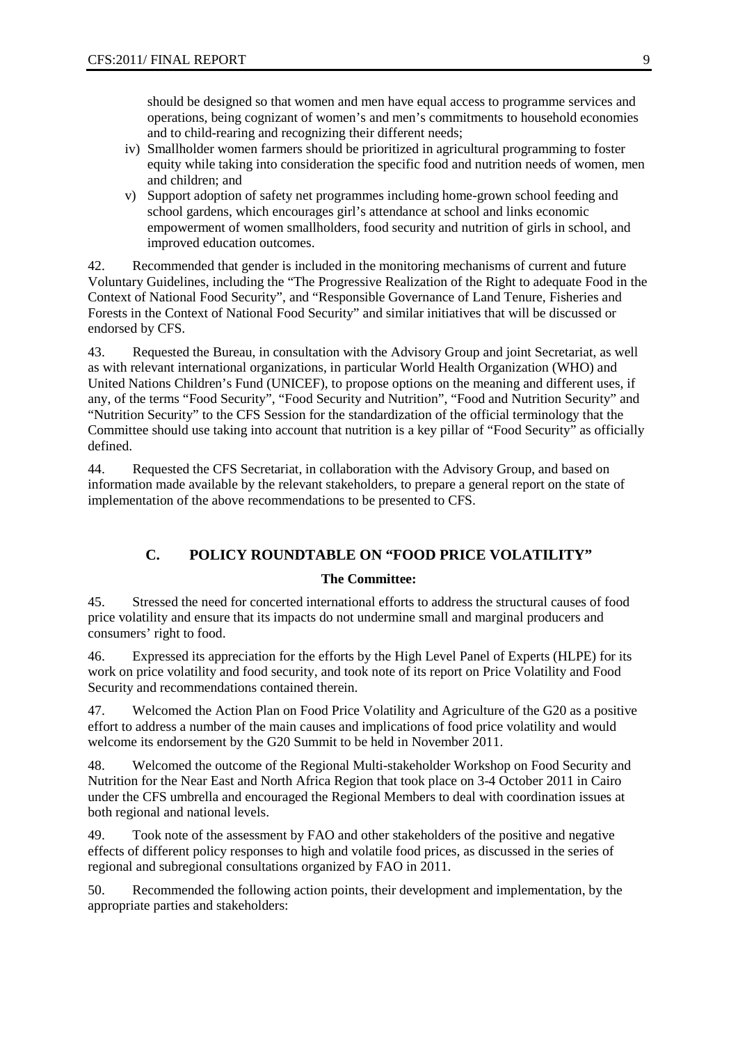should be designed so that women and men have equal access to programme services and operations, being cognizant of women's and men's commitments to household economies and to child-rearing and recognizing their different needs;

- iv) Smallholder women farmers should be prioritized in agricultural programming to foster equity while taking into consideration the specific food and nutrition needs of women, men and children; and
- v) Support adoption of safety net programmes including home-grown school feeding and school gardens, which encourages girl's attendance at school and links economic empowerment of women smallholders, food security and nutrition of girls in school, and improved education outcomes.

42. Recommended that gender is included in the monitoring mechanisms of current and future Voluntary Guidelines, including the "The Progressive Realization of the Right to adequate Food in the Context of National Food Security", and "Responsible Governance of Land Tenure, Fisheries and Forests in the Context of National Food Security" and similar initiatives that will be discussed or endorsed by CFS.

43. Requested the Bureau, in consultation with the Advisory Group and joint Secretariat, as well as with relevant international organizations, in particular World Health Organization (WHO) and United Nations Children's Fund (UNICEF), to propose options on the meaning and different uses, if any, of the terms "Food Security", "Food Security and Nutrition", "Food and Nutrition Security" and "Nutrition Security" to the CFS Session for the standardization of the official terminology that the Committee should use taking into account that nutrition is a key pillar of "Food Security" as officially defined.

44. Requested the CFS Secretariat, in collaboration with the Advisory Group, and based on information made available by the relevant stakeholders, to prepare a general report on the state of implementation of the above recommendations to be presented to CFS.

### **C. POLICY ROUNDTABLE ON "FOOD PRICE VOLATILITY"**

#### **The Committee:**

45. Stressed the need for concerted international efforts to address the structural causes of food price volatility and ensure that its impacts do not undermine small and marginal producers and consumers' right to food.

46. Expressed its appreciation for the efforts by the High Level Panel of Experts (HLPE) for its work on price volatility and food security, and took note of its report on Price Volatility and Food Security and recommendations contained therein.

47. Welcomed the Action Plan on Food Price Volatility and Agriculture of the G20 as a positive effort to address a number of the main causes and implications of food price volatility and would welcome its endorsement by the G20 Summit to be held in November 2011.

48. Welcomed the outcome of the Regional Multi-stakeholder Workshop on Food Security and Nutrition for the Near East and North Africa Region that took place on 3-4 October 2011 in Cairo under the CFS umbrella and encouraged the Regional Members to deal with coordination issues at both regional and national levels.

49. Took note of the assessment by FAO and other stakeholders of the positive and negative effects of different policy responses to high and volatile food prices, as discussed in the series of regional and subregional consultations organized by FAO in 2011.

50. Recommended the following action points, their development and implementation, by the appropriate parties and stakeholders: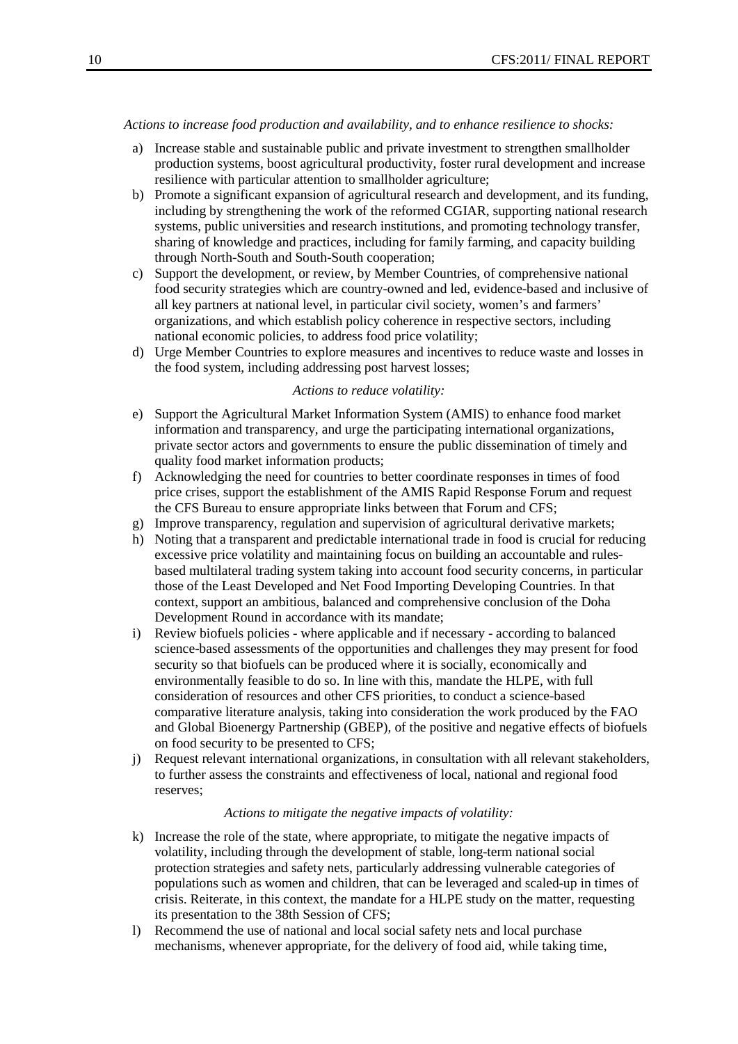#### *Actions to increase food production and availability, and to enhance resilience to shocks:*

- a) Increase stable and sustainable public and private investment to strengthen smallholder production systems, boost agricultural productivity, foster rural development and increase resilience with particular attention to smallholder agriculture;
- b) Promote a significant expansion of agricultural research and development, and its funding, including by strengthening the work of the reformed CGIAR, supporting national research systems, public universities and research institutions, and promoting technology transfer, sharing of knowledge and practices, including for family farming, and capacity building through North-South and South-South cooperation;
- c) Support the development, or review, by Member Countries, of comprehensive national food security strategies which are country-owned and led, evidence-based and inclusive of all key partners at national level, in particular civil society, women's and farmers' organizations, and which establish policy coherence in respective sectors, including national economic policies, to address food price volatility;
- d) Urge Member Countries to explore measures and incentives to reduce waste and losses in the food system, including addressing post harvest losses;

#### *Actions to reduce volatility:*

- e) Support the Agricultural Market Information System (AMIS) to enhance food market information and transparency, and urge the participating international organizations, private sector actors and governments to ensure the public dissemination of timely and quality food market information products;
- f) Acknowledging the need for countries to better coordinate responses in times of food price crises, support the establishment of the AMIS Rapid Response Forum and request the CFS Bureau to ensure appropriate links between that Forum and CFS;
- g) Improve transparency, regulation and supervision of agricultural derivative markets;
- h) Noting that a transparent and predictable international trade in food is crucial for reducing excessive price volatility and maintaining focus on building an accountable and rulesbased multilateral trading system taking into account food security concerns, in particular those of the Least Developed and Net Food Importing Developing Countries. In that context, support an ambitious, balanced and comprehensive conclusion of the Doha Development Round in accordance with its mandate;
- i) Review biofuels policies where applicable and if necessary according to balanced science-based assessments of the opportunities and challenges they may present for food security so that biofuels can be produced where it is socially, economically and environmentally feasible to do so. In line with this, mandate the HLPE, with full consideration of resources and other CFS priorities, to conduct a science-based comparative literature analysis, taking into consideration the work produced by the FAO and Global Bioenergy Partnership (GBEP), of the positive and negative effects of biofuels on food security to be presented to CFS;
- j) Request relevant international organizations, in consultation with all relevant stakeholders, to further assess the constraints and effectiveness of local, national and regional food reserves;

#### *Actions to mitigate the negative impacts of volatility:*

- k) Increase the role of the state, where appropriate, to mitigate the negative impacts of volatility, including through the development of stable, long-term national social protection strategies and safety nets, particularly addressing vulnerable categories of populations such as women and children, that can be leveraged and scaled-up in times of crisis. Reiterate, in this context, the mandate for a HLPE study on the matter, requesting its presentation to the 38th Session of CFS;
- l) Recommend the use of national and local social safety nets and local purchase mechanisms, whenever appropriate, for the delivery of food aid, while taking time,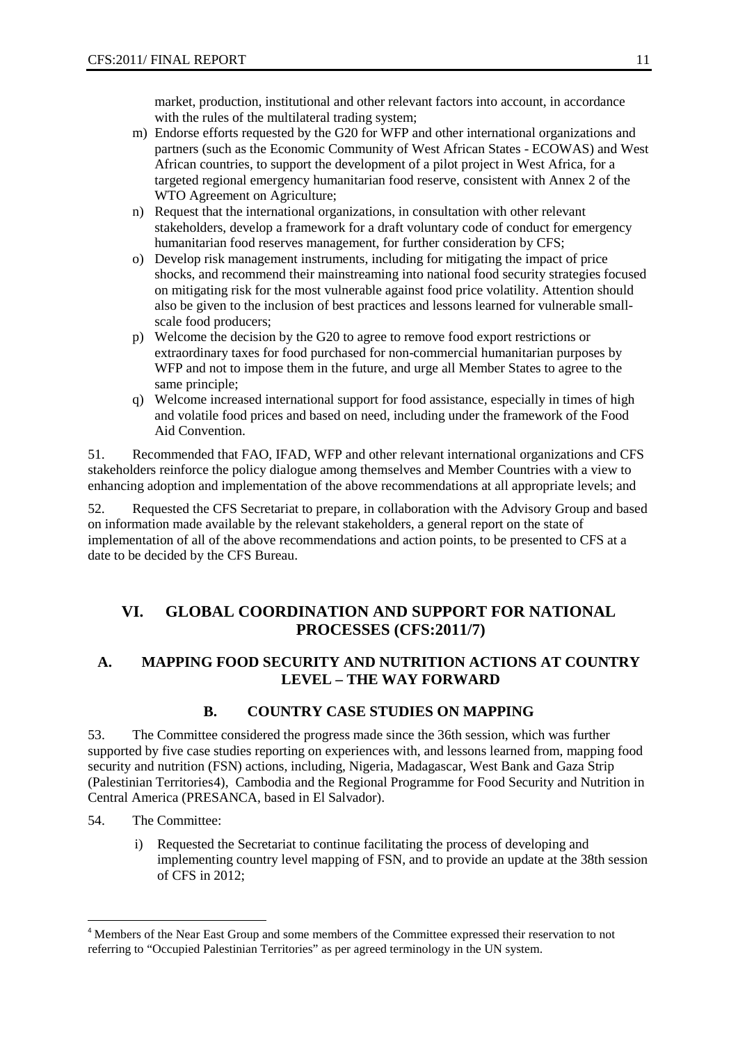market, production, institutional and other relevant factors into account, in accordance with the rules of the multilateral trading system;

- m) Endorse efforts requested by the G20 for WFP and other international organizations and partners (such as the Economic Community of West African States - ECOWAS) and West African countries, to support the development of a pilot project in West Africa, for a targeted regional emergency humanitarian food reserve, consistent with Annex 2 of the WTO Agreement on Agriculture;
- n) Request that the international organizations, in consultation with other relevant stakeholders, develop a framework for a draft voluntary code of conduct for emergency humanitarian food reserves management, for further consideration by CFS;
- o) Develop risk management instruments, including for mitigating the impact of price shocks, and recommend their mainstreaming into national food security strategies focused on mitigating risk for the most vulnerable against food price volatility. Attention should also be given to the inclusion of best practices and lessons learned for vulnerable smallscale food producers;
- p) Welcome the decision by the G20 to agree to remove food export restrictions or extraordinary taxes for food purchased for non-commercial humanitarian purposes by WFP and not to impose them in the future, and urge all Member States to agree to the same principle;
- q) Welcome increased international support for food assistance, especially in times of high and volatile food prices and based on need, including under the framework of the Food Aid Convention.

51. Recommended that FAO, IFAD, WFP and other relevant international organizations and CFS stakeholders reinforce the policy dialogue among themselves and Member Countries with a view to enhancing adoption and implementation of the above recommendations at all appropriate levels; and

52. Requested the CFS Secretariat to prepare, in collaboration with the Advisory Group and based on information made available by the relevant stakeholders, a general report on the state of implementation of all of the above recommendations and action points, to be presented to CFS at a date to be decided by the CFS Bureau.

### **VI. GLOBAL COORDINATION AND SUPPORT FOR NATIONAL PROCESSES (CFS:2011/7)**

### **A. MAPPING FOOD SECURITY AND NUTRITION ACTIONS AT COUNTRY LEVEL – THE WAY FORWARD**

### **B. COUNTRY CASE STUDIES ON MAPPING**

53. The Committee considered the progress made since the 36th session, which was further supported by five case studies reporting on experiences with, and lessons learned from, mapping food security and nutrition (FSN) actions, including, Nigeria, Madagascar, West Bank and Gaza Strip (Palestinian Territories[4](#page-3-0)), Cambodia and the Regional Programme for Food Security and Nutrition in Central America (PRESANCA, based in El Salvador).

- 54. The Committee:
	- i) Requested the Secretariat to continue facilitating the process of developing and implementing country level mapping of FSN, and to provide an update at the 38th session of CFS in 2012;

<span id="page-10-0"></span><sup>4</sup> Members of the Near East Group and some members of the Committee expressed their reservation to not referring to "Occupied Palestinian Territories" as per agreed terminology in the UN system.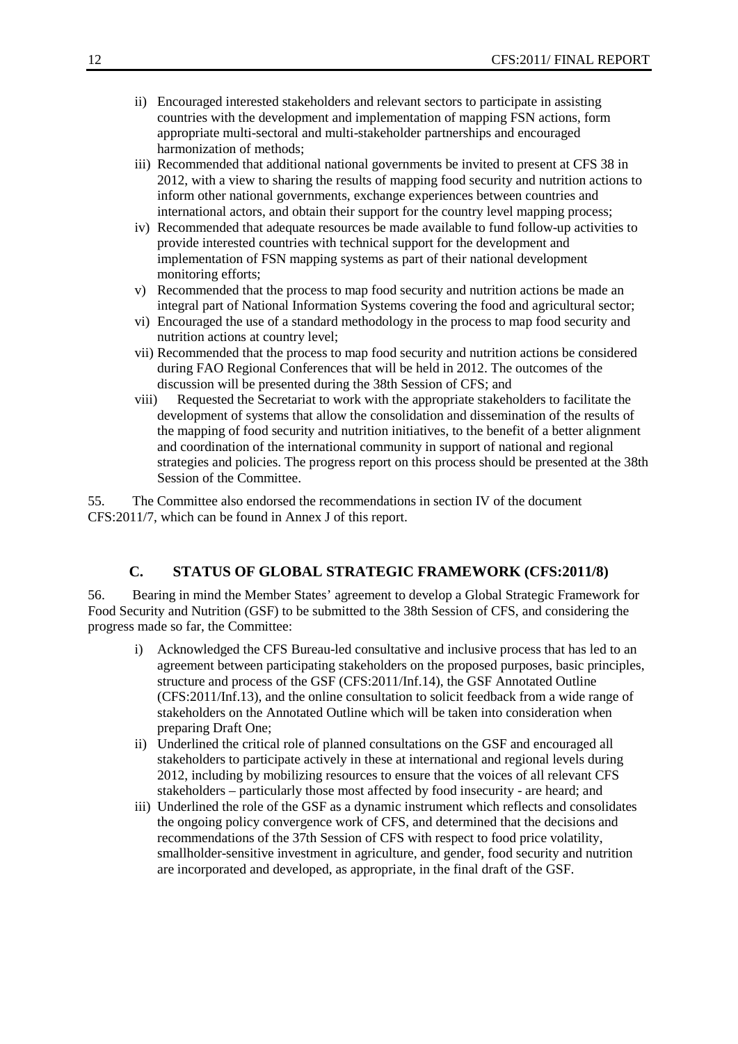- ii) Encouraged interested stakeholders and relevant sectors to participate in assisting countries with the development and implementation of mapping FSN actions, form appropriate multi-sectoral and multi-stakeholder partnerships and encouraged harmonization of methods;
- iii) Recommended that additional national governments be invited to present at CFS 38 in 2012, with a view to sharing the results of mapping food security and nutrition actions to inform other national governments, exchange experiences between countries and international actors, and obtain their support for the country level mapping process;
- iv) Recommended that adequate resources be made available to fund follow-up activities to provide interested countries with technical support for the development and implementation of FSN mapping systems as part of their national development monitoring efforts;
- v) Recommended that the process to map food security and nutrition actions be made an integral part of National Information Systems covering the food and agricultural sector;
- vi) Encouraged the use of a standard methodology in the process to map food security and nutrition actions at country level;
- vii) Recommended that the process to map food security and nutrition actions be considered during FAO Regional Conferences that will be held in 2012. The outcomes of the discussion will be presented during the 38th Session of CFS; and
- viii) Requested the Secretariat to work with the appropriate stakeholders to facilitate the development of systems that allow the consolidation and dissemination of the results of the mapping of food security and nutrition initiatives, to the benefit of a better alignment and coordination of the international community in support of national and regional strategies and policies. The progress report on this process should be presented at the 38th Session of the Committee.

55. The Committee also endorsed the recommendations in section IV of the document CFS:2011/7, which can be found in Annex J of this report.

### **C. STATUS OF GLOBAL STRATEGIC FRAMEWORK (CFS:2011/8)**

56. Bearing in mind the Member States' agreement to develop a Global Strategic Framework for Food Security and Nutrition (GSF) to be submitted to the 38th Session of CFS, and considering the progress made so far, the Committee:

- i) Acknowledged the CFS Bureau-led consultative and inclusive process that has led to an agreement between participating stakeholders on the proposed purposes, basic principles, structure and process of the GSF (CFS:2011/Inf.14), the GSF Annotated Outline (CFS:2011/Inf.13), and the online consultation to solicit feedback from a wide range of stakeholders on the Annotated Outline which will be taken into consideration when preparing Draft One;
- ii) Underlined the critical role of planned consultations on the GSF and encouraged all stakeholders to participate actively in these at international and regional levels during 2012, including by mobilizing resources to ensure that the voices of all relevant CFS stakeholders – particularly those most affected by food insecurity - are heard; and
- iii) Underlined the role of the GSF as a dynamic instrument which reflects and consolidates the ongoing policy convergence work of CFS, and determined that the decisions and recommendations of the 37th Session of CFS with respect to food price volatility, smallholder-sensitive investment in agriculture, and gender, food security and nutrition are incorporated and developed, as appropriate, in the final draft of the GSF.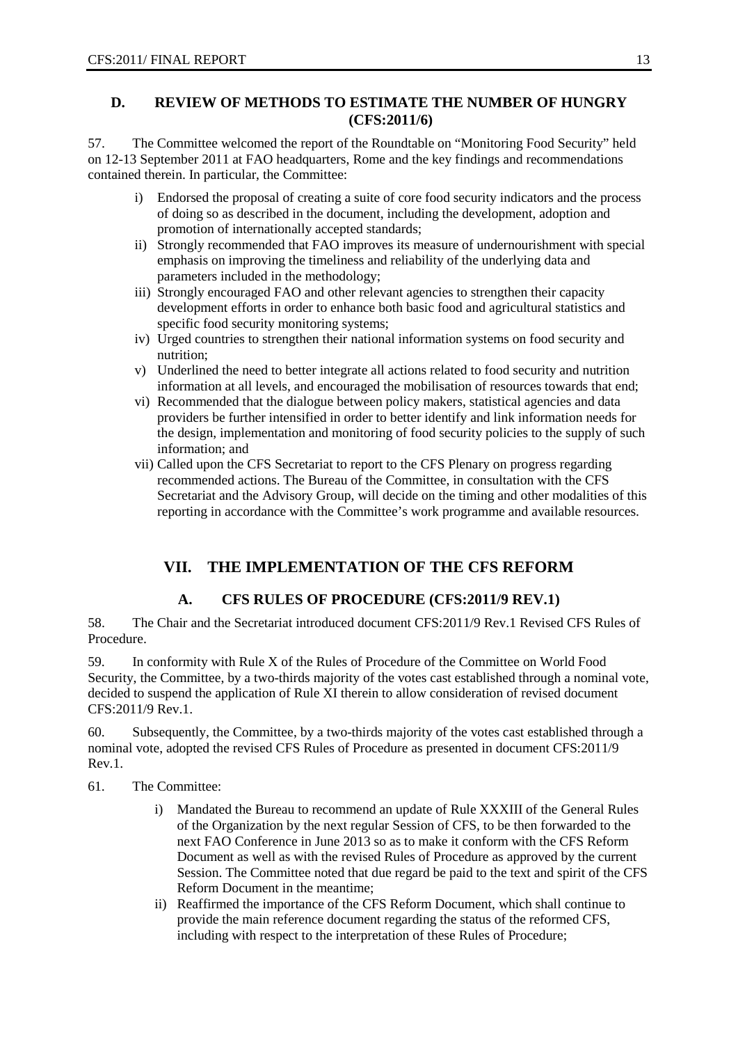### **D. REVIEW OF METHODS TO ESTIMATE THE NUMBER OF HUNGRY (CFS:2011/6)**

57. The Committee welcomed the report of the Roundtable on "Monitoring Food Security" held on 12-13 September 2011 at FAO headquarters, Rome and the key findings and recommendations contained therein. In particular, the Committee:

- i) Endorsed the proposal of creating a suite of core food security indicators and the process of doing so as described in the document, including the development, adoption and promotion of internationally accepted standards;
- ii) Strongly recommended that FAO improves its measure of undernourishment with special emphasis on improving the timeliness and reliability of the underlying data and parameters included in the methodology;
- iii) Strongly encouraged FAO and other relevant agencies to strengthen their capacity development efforts in order to enhance both basic food and agricultural statistics and specific food security monitoring systems;
- iv) Urged countries to strengthen their national information systems on food security and nutrition;
- v) Underlined the need to better integrate all actions related to food security and nutrition information at all levels, and encouraged the mobilisation of resources towards that end;
- vi) Recommended that the dialogue between policy makers, statistical agencies and data providers be further intensified in order to better identify and link information needs for the design, implementation and monitoring of food security policies to the supply of such information; and
- vii) Called upon the CFS Secretariat to report to the CFS Plenary on progress regarding recommended actions. The Bureau of the Committee, in consultation with the CFS Secretariat and the Advisory Group, will decide on the timing and other modalities of this reporting in accordance with the Committee's work programme and available resources.

### **VII. THE IMPLEMENTATION OF THE CFS REFORM**

### **A. CFS RULES OF PROCEDURE (CFS:2011/9 REV.1)**

58. The Chair and the Secretariat introduced document CFS:2011/9 Rev.1 Revised CFS Rules of Procedure.

59. In conformity with Rule X of the Rules of Procedure of the Committee on World Food Security, the Committee, by a two-thirds majority of the votes cast established through a nominal vote, decided to suspend the application of Rule XI therein to allow consideration of revised document CFS:2011/9 Rev.1.

60. Subsequently, the Committee, by a two-thirds majority of the votes cast established through a nominal vote, adopted the revised CFS Rules of Procedure as presented in document CFS:2011/9 Rev.1.

61. The Committee:

- i) Mandated the Bureau to recommend an update of Rule XXXIII of the General Rules of the Organization by the next regular Session of CFS, to be then forwarded to the next FAO Conference in June 2013 so as to make it conform with the CFS Reform Document as well as with the revised Rules of Procedure as approved by the current Session. The Committee noted that due regard be paid to the text and spirit of the CFS Reform Document in the meantime;
- ii) Reaffirmed the importance of the CFS Reform Document, which shall continue to provide the main reference document regarding the status of the reformed CFS, including with respect to the interpretation of these Rules of Procedure;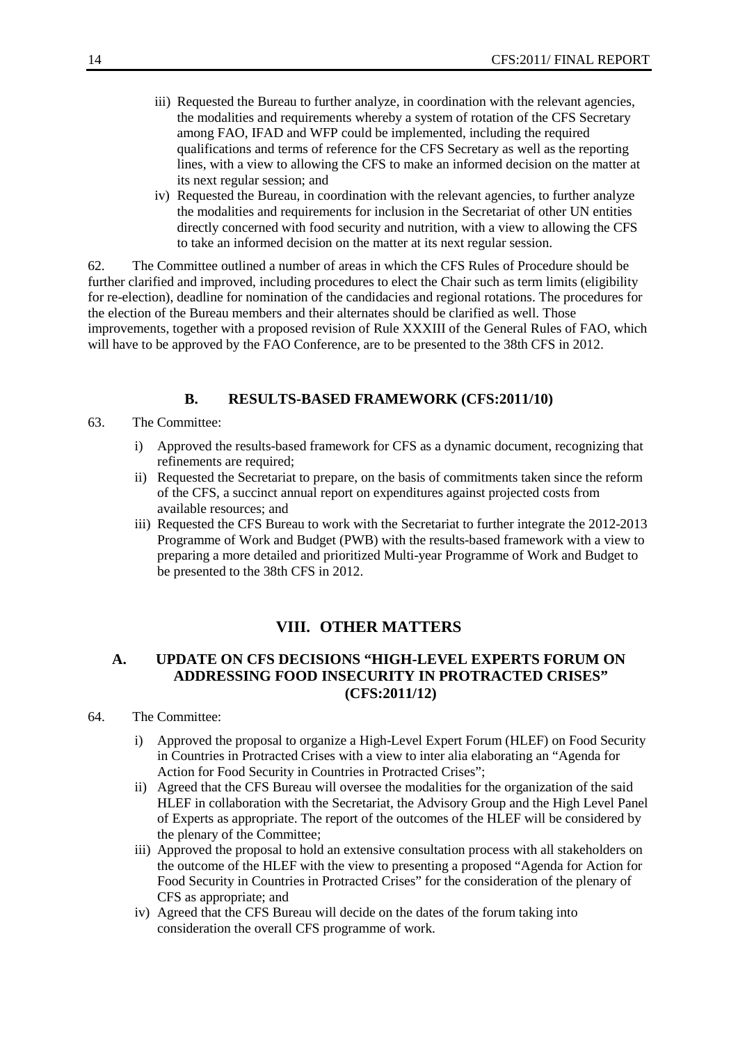- iii) Requested the Bureau to further analyze, in coordination with the relevant agencies, the modalities and requirements whereby a system of rotation of the CFS Secretary among FAO, IFAD and WFP could be implemented, including the required qualifications and terms of reference for the CFS Secretary as well as the reporting lines, with a view to allowing the CFS to make an informed decision on the matter at its next regular session; and
- iv) Requested the Bureau, in coordination with the relevant agencies, to further analyze the modalities and requirements for inclusion in the Secretariat of other UN entities directly concerned with food security and nutrition, with a view to allowing the CFS to take an informed decision on the matter at its next regular session.

62. The Committee outlined a number of areas in which the CFS Rules of Procedure should be further clarified and improved, including procedures to elect the Chair such as term limits (eligibility for re-election), deadline for nomination of the candidacies and regional rotations. The procedures for the election of the Bureau members and their alternates should be clarified as well. Those improvements, together with a proposed revision of Rule XXXIII of the General Rules of FAO, which will have to be approved by the FAO Conference, are to be presented to the 38th CFS in 2012.

### **B. RESULTS-BASED FRAMEWORK (CFS:2011/10)**

- 63. The Committee:
	- i) Approved the results-based framework for CFS as a dynamic document, recognizing that refinements are required;
	- ii) Requested the Secretariat to prepare, on the basis of commitments taken since the reform of the CFS, a succinct annual report on expenditures against projected costs from available resources; and
	- iii) Requested the CFS Bureau to work with the Secretariat to further integrate the 2012-2013 Programme of Work and Budget (PWB) with the results-based framework with a view to preparing a more detailed and prioritized Multi-year Programme of Work and Budget to be presented to the 38th CFS in 2012.

#### **VIII. OTHER MATTERS**

### **A. UPDATE ON CFS DECISIONS "HIGH-LEVEL EXPERTS FORUM ON ADDRESSING FOOD INSECURITY IN PROTRACTED CRISES" (CFS:2011/12)**

- 64. The Committee:
	- i) Approved the proposal to organize a High-Level Expert Forum (HLEF) on Food Security in Countries in Protracted Crises with a view to inter alia elaborating an "Agenda for Action for Food Security in Countries in Protracted Crises";
	- ii) Agreed that the CFS Bureau will oversee the modalities for the organization of the said HLEF in collaboration with the Secretariat, the Advisory Group and the High Level Panel of Experts as appropriate. The report of the outcomes of the HLEF will be considered by the plenary of the Committee;
	- iii) Approved the proposal to hold an extensive consultation process with all stakeholders on the outcome of the HLEF with the view to presenting a proposed "Agenda for Action for Food Security in Countries in Protracted Crises" for the consideration of the plenary of CFS as appropriate; and
	- iv) Agreed that the CFS Bureau will decide on the dates of the forum taking into consideration the overall CFS programme of work.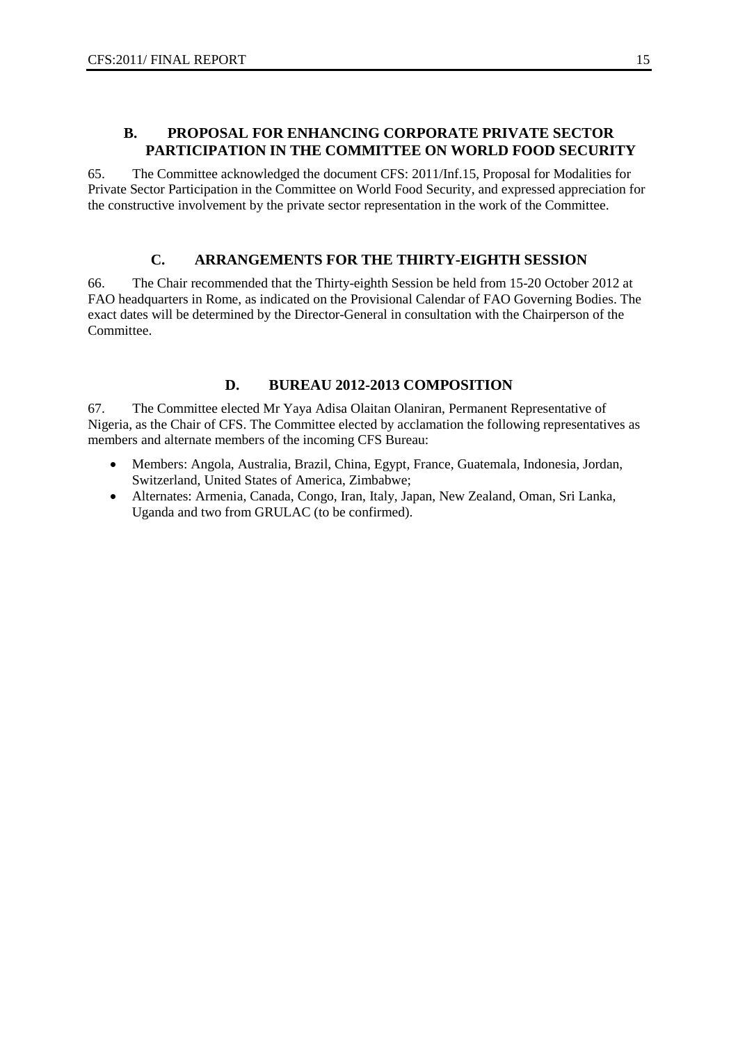#### **B. PROPOSAL FOR ENHANCING CORPORATE PRIVATE SECTOR PARTICIPATION IN THE COMMITTEE ON WORLD FOOD SECURITY**

65. The Committee acknowledged the document CFS: 2011/Inf.15, Proposal for Modalities for Private Sector Participation in the Committee on World Food Security, and expressed appreciation for the constructive involvement by the private sector representation in the work of the Committee.

#### **C. ARRANGEMENTS FOR THE THIRTY-EIGHTH SESSION**

66. The Chair recommended that the Thirty-eighth Session be held from 15-20 October 2012 at FAO headquarters in Rome, as indicated on the Provisional Calendar of FAO Governing Bodies. The exact dates will be determined by the Director-General in consultation with the Chairperson of the Committee.

#### **D. BUREAU 2012-2013 COMPOSITION**

67. The Committee elected Mr Yaya Adisa Olaitan Olaniran, Permanent Representative of Nigeria, as the Chair of CFS. The Committee elected by acclamation the following representatives as members and alternate members of the incoming CFS Bureau:

- Members: Angola, Australia, Brazil, China, Egypt, France, Guatemala, Indonesia, Jordan, Switzerland, United States of America, Zimbabwe;
- Alternates: Armenia, Canada, Congo, Iran, Italy, Japan, New Zealand, Oman, Sri Lanka, Uganda and two from GRULAC (to be confirmed).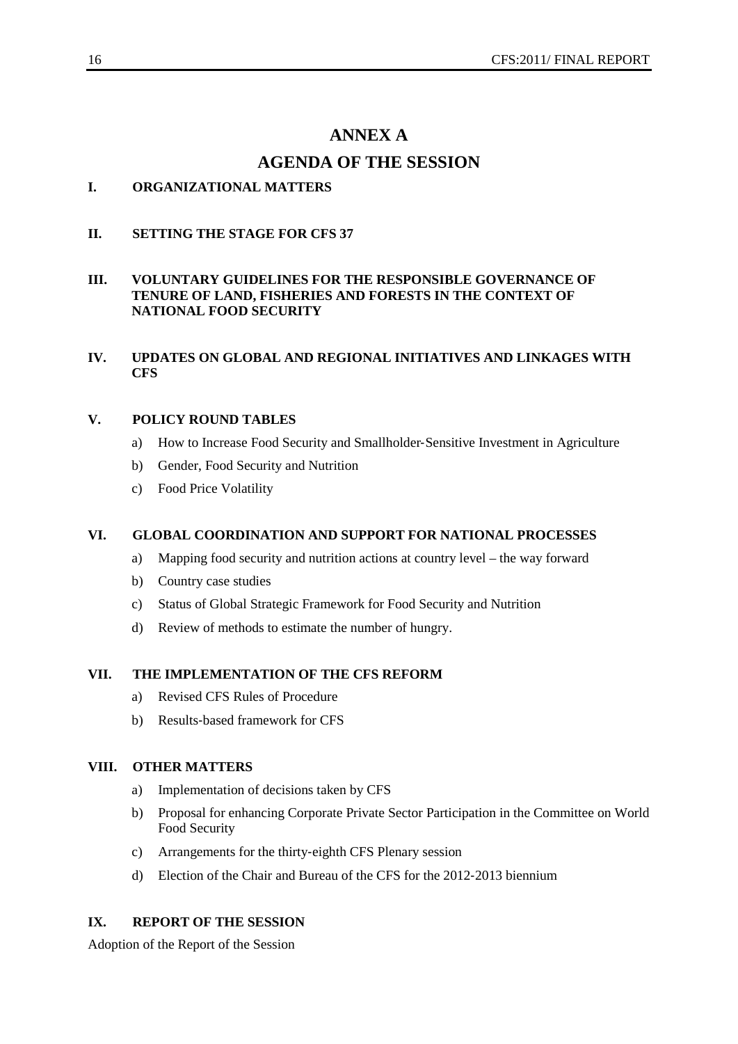### **ANNEX A**

### **AGENDA OF THE SESSION**

### **I. ORGANIZATIONAL MATTERS**

#### **II. SETTING THE STAGE FOR CFS 37**

#### **III. VOLUNTARY GUIDELINES FOR THE RESPONSIBLE GOVERNANCE OF TENURE OF LAND, FISHERIES AND FORESTS IN THE CONTEXT OF NATIONAL FOOD SECURITY**

#### **IV. UPDATES ON GLOBAL AND REGIONAL INITIATIVES AND LINKAGES WITH CFS**

#### **V. POLICY ROUND TABLES**

- a) How to Increase Food Security and Smallholder‐Sensitive Investment in Agriculture
- b) Gender, Food Security and Nutrition
- c) Food Price Volatility

#### **VI. GLOBAL COORDINATION AND SUPPORT FOR NATIONAL PROCESSES**

- a) Mapping food security and nutrition actions at country level the way forward
- b) Country case studies
- c) Status of Global Strategic Framework for Food Security and Nutrition
- d) Review of methods to estimate the number of hungry.

#### **VII. THE IMPLEMENTATION OF THE CFS REFORM**

- a) Revised CFS Rules of Procedure
- b) Results‐based framework for CFS

#### **VIII. OTHER MATTERS**

- a) Implementation of decisions taken by CFS
- b) Proposal for enhancing Corporate Private Sector Participation in the Committee on World Food Security
- c) Arrangements for the thirty‐eighth CFS Plenary session
- d) Election of the Chair and Bureau of the CFS for the 2012‐2013 biennium

#### **IX. REPORT OF THE SESSION**

Adoption of the Report of the Session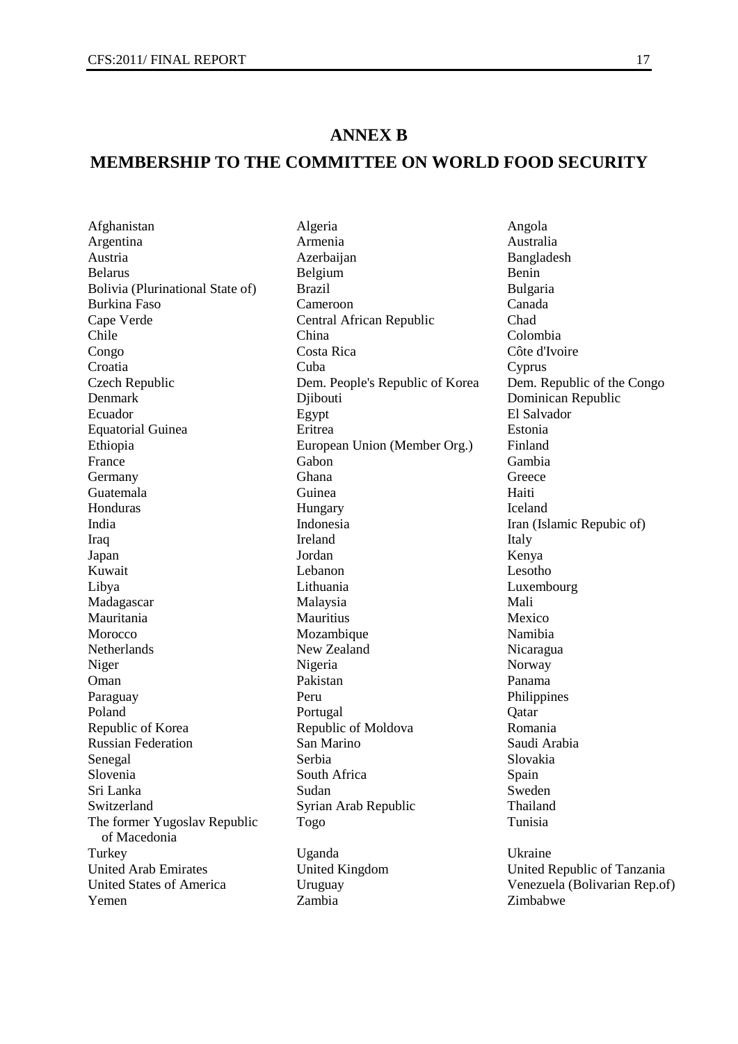### **ANNEX B**

### **MEMBERSHIP TO THE COMMITTEE ON WORLD FOOD SECURITY**

The former Yugoslav Republic of Macedonia United Arab Emirates United Kingdom United Republic of Tanzania United States of America Uruguay Venezuela (Bolivarian Rep.of)<br>
Yemen Zambia Zimbabwe Zimbabwe Yemen Zambia Zimbabwe

Afghanistan Algeria Algeria Angola Angola<br>Argentina Armenia America Angola Argentina Armenia Australia Austria 1988 - Azerbaijan 1988 - Bangladesh Belarus Benin Benin Benin Benin Benin Benin Benin Benin Benin Benin Belarus Belgium Benin Bolivia (Plurinational State of) Brazil Bulgaria<br>Burkina Faso Canada Cameroon Canada Burkina Faso Cameroon Cameroon Canada<br>Canada Canada Central African Republic Chad Cape Verde Central African Republic Chad<br>Chile China Colombia Chile China Colombia Congo Costa Rica Côte d'Ivoire Croatia Cuba Cyprus Czech Republic Dem. People's Republic of Korea Dem. Republic of the Congo Denmark Djibouti Dominican Republic Ecuador Egypt El Salvador Equatorial Guinea Eritrea Estonia Ethiopia European Union (Member Org.) Finland<br>France Gabon Gambia France Gabon Gabon Gambia Germany Ghana Ghana Greece Guatemala Guinea Haiti Honduras **Hungary** Hungary **Iceland** India **Indonesia** Indonesia Iran (Islamic Repubic of) Iraq Ireland Italy Japan Jordan Kenya Kuwait **Lebanon** Lesotho Libya Lithuania Luxembourg Madagascar Malaysia Mali Mauritania Mauritius Mexico Morocco Mozambique Namibia<br>
Netherlands New Zealand Nicaragu New Zealand Nicaragua Niger Norway Nigeria Norway Oman Pakistan Panama Paraguay Peru Philippines Poland **Portugal** Portugal Qatar Republic of Korea **Republic of Moldova** Romania Russian Federation San Marino Saudi Arabia Senegal Serbia Serbia Serbia Slovakia Slovenia South Africa Spain Sri Lanka Sudan Sudan Sweden Switzerland Syrian Arab Republic Thailand Togo Tunisia Turkey Uganda Uganda Ukraine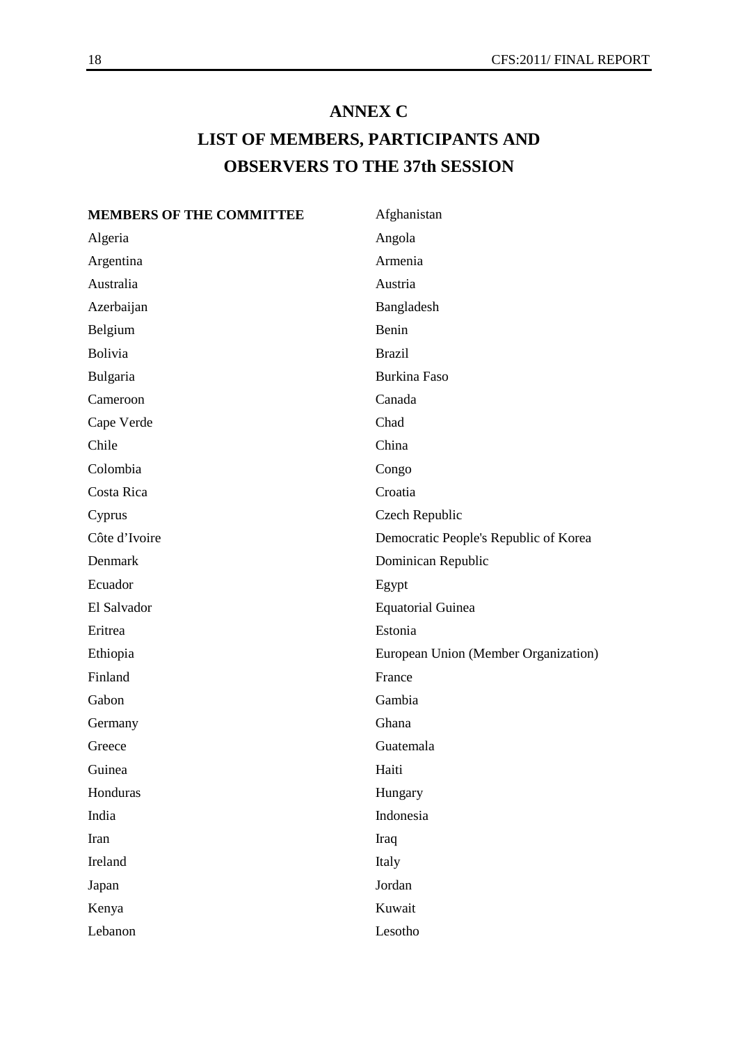# **ANNEX C LIST OF MEMBERS, PARTICIPANTS AND OBSERVERS TO THE 37th SESSION**

### **MEMBERS OF THE COMMITTEE** Afghanistan

| Algeria       | Angola                                |
|---------------|---------------------------------------|
| Argentina     | Armenia                               |
| Australia     | Austria                               |
| Azerbaijan    | Bangladesh                            |
| Belgium       | Benin                                 |
| Bolivia       | <b>Brazil</b>                         |
| Bulgaria      | <b>Burkina Faso</b>                   |
| Cameroon      | Canada                                |
| Cape Verde    | Chad                                  |
| Chile         | China                                 |
| Colombia      | Congo                                 |
| Costa Rica    | Croatia                               |
| Cyprus        | Czech Republic                        |
| Côte d'Ivoire | Democratic People's Republic of Korea |
| Denmark       | Dominican Republic                    |
| Ecuador       | Egypt                                 |
| El Salvador   | <b>Equatorial Guinea</b>              |
| Eritrea       | Estonia                               |
| Ethiopia      | European Union (Member Organization)  |
| Finland       | France                                |
| Gabon         | Gambia                                |
| Germany       | Ghana                                 |
| Greece        | Guatemala                             |
| Guinea        | Haiti                                 |
| Honduras      | Hungary                               |
| India         | Indonesia                             |
| Iran          | Iraq                                  |
| Ireland       | Italy                                 |
| Japan         | Jordan                                |
| Kenya         | Kuwait                                |
| Lebanon       | Lesotho                               |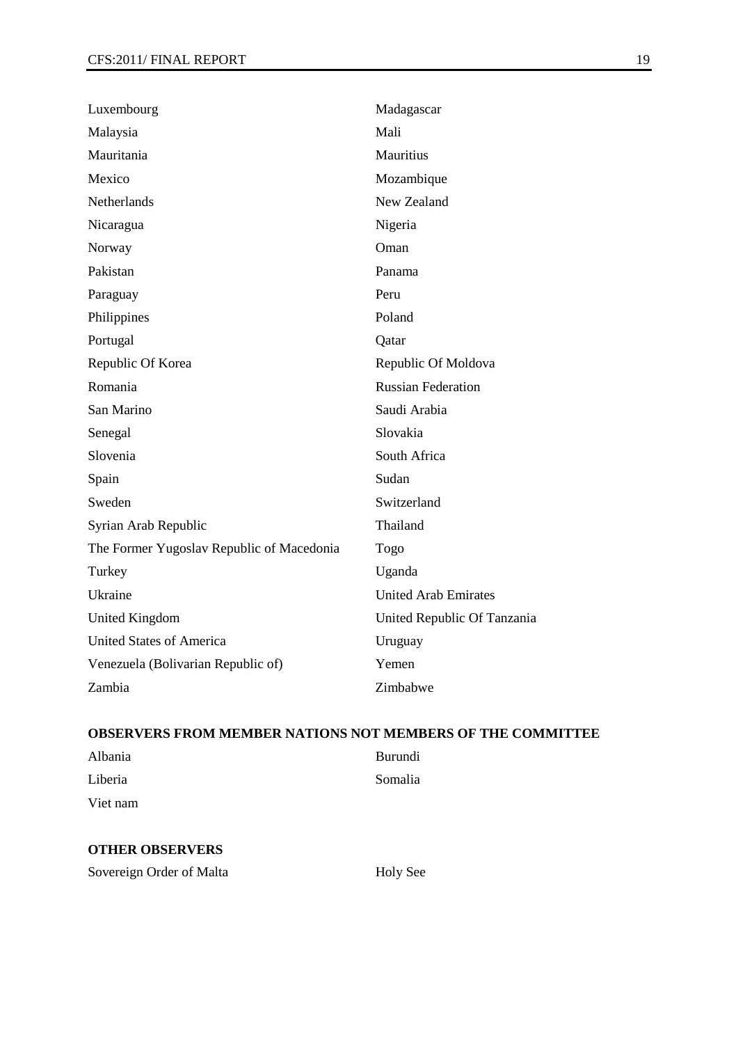| Luxembourg                                | Madagascar                  |
|-------------------------------------------|-----------------------------|
| Malaysia                                  | Mali                        |
| Mauritania                                | Mauritius                   |
| Mexico                                    | Mozambique                  |
| Netherlands                               | New Zealand                 |
| Nicaragua                                 | Nigeria                     |
| Norway                                    | Oman                        |
| Pakistan                                  | Panama                      |
| Paraguay                                  | Peru                        |
| Philippines                               | Poland                      |
| Portugal                                  | Qatar                       |
| Republic Of Korea                         | Republic Of Moldova         |
| Romania                                   | <b>Russian Federation</b>   |
| San Marino                                | Saudi Arabia                |
| Senegal                                   | Slovakia                    |
| Slovenia                                  | South Africa                |
| Spain                                     | Sudan                       |
| Sweden                                    | Switzerland                 |
| Syrian Arab Republic                      | Thailand                    |
| The Former Yugoslav Republic of Macedonia | Togo                        |
| Turkey                                    | Uganda                      |
| Ukraine                                   | <b>United Arab Emirates</b> |
| <b>United Kingdom</b>                     | United Republic Of Tanzania |
| United States of America                  | Uruguay                     |
| Venezuela (Bolivarian Republic of)        | Yemen                       |
| Zambia                                    | Zimbabwe                    |

### **OBSERVERS FROM MEMBER NATIONS NOT MEMBERS OF THE COMMITTEE**

| Albania  | <b>Burundi</b> |
|----------|----------------|
| Liberia  | Somalia        |
| Viet nam |                |

#### **OTHER OBSERVERS**

Sovereign Order of Malta Holy See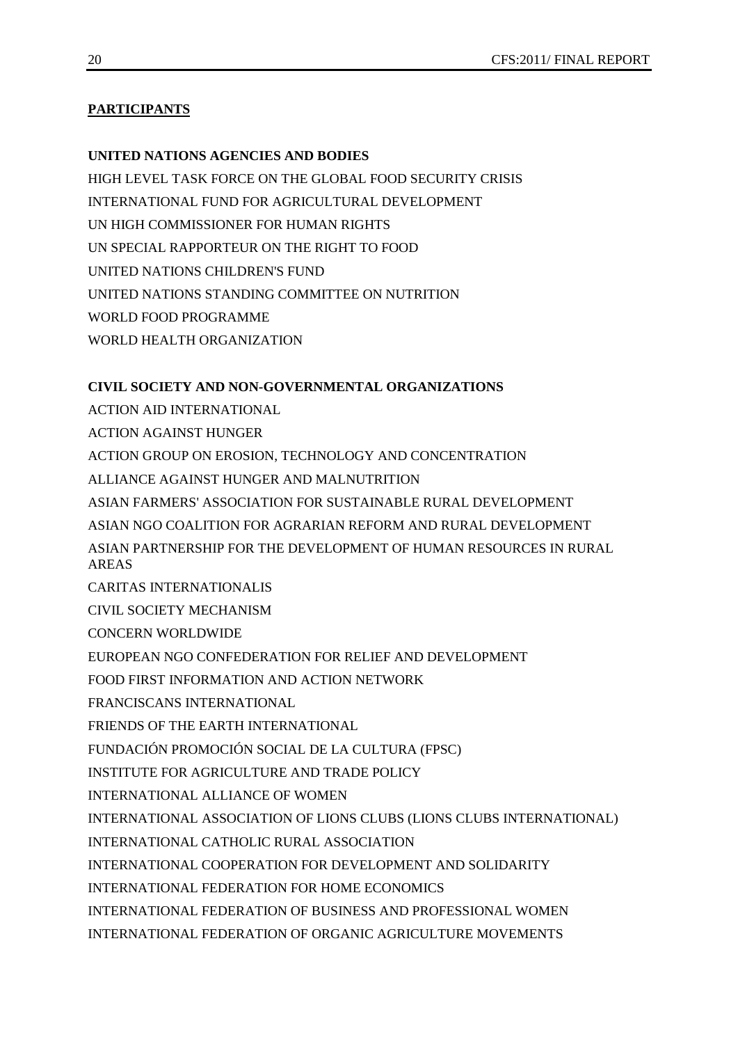### **PARTICIPANTS**

#### **UNITED NATIONS AGENCIES AND BODIES**

HIGH LEVEL TASK FORCE ON THE GLOBAL FOOD SECURITY CRISIS INTERNATIONAL FUND FOR AGRICULTURAL DEVELOPMENT UN HIGH COMMISSIONER FOR HUMAN RIGHTS UN SPECIAL RAPPORTEUR ON THE RIGHT TO FOOD UNITED NATIONS CHILDREN'S FUND UNITED NATIONS STANDING COMMITTEE ON NUTRITION WORLD FOOD PROGRAMME WORLD HEALTH ORGANIZATION

### **CIVIL SOCIETY AND NON-GOVERNMENTAL ORGANIZATIONS**

ACTION AID INTERNATIONAL ACTION AGAINST HUNGER ACTION GROUP ON EROSION, TECHNOLOGY AND CONCENTRATION ALLIANCE AGAINST HUNGER AND MALNUTRITION ASIAN FARMERS' ASSOCIATION FOR SUSTAINABLE RURAL DEVELOPMENT ASIAN NGO COALITION FOR AGRARIAN REFORM AND RURAL DEVELOPMENT ASIAN PARTNERSHIP FOR THE DEVELOPMENT OF HUMAN RESOURCES IN RURAL AREAS CARITAS INTERNATIONALIS CIVIL SOCIETY MECHANISM CONCERN WORLDWIDE EUROPEAN NGO CONFEDERATION FOR RELIEF AND DEVELOPMENT FOOD FIRST INFORMATION AND ACTION NETWORK FRANCISCANS INTERNATIONAL FRIENDS OF THE EARTH INTERNATIONAL FUNDACIÓN PROMOCIÓN SOCIAL DE LA CULTURA (FPSC) INSTITUTE FOR AGRICULTURE AND TRADE POLICY INTERNATIONAL ALLIANCE OF WOMEN INTERNATIONAL ASSOCIATION OF LIONS CLUBS (LIONS CLUBS INTERNATIONAL) INTERNATIONAL CATHOLIC RURAL ASSOCIATION INTERNATIONAL COOPERATION FOR DEVELOPMENT AND SOLIDARITY INTERNATIONAL FEDERATION FOR HOME ECONOMICS INTERNATIONAL FEDERATION OF BUSINESS AND PROFESSIONAL WOMEN INTERNATIONAL FEDERATION OF ORGANIC AGRICULTURE MOVEMENTS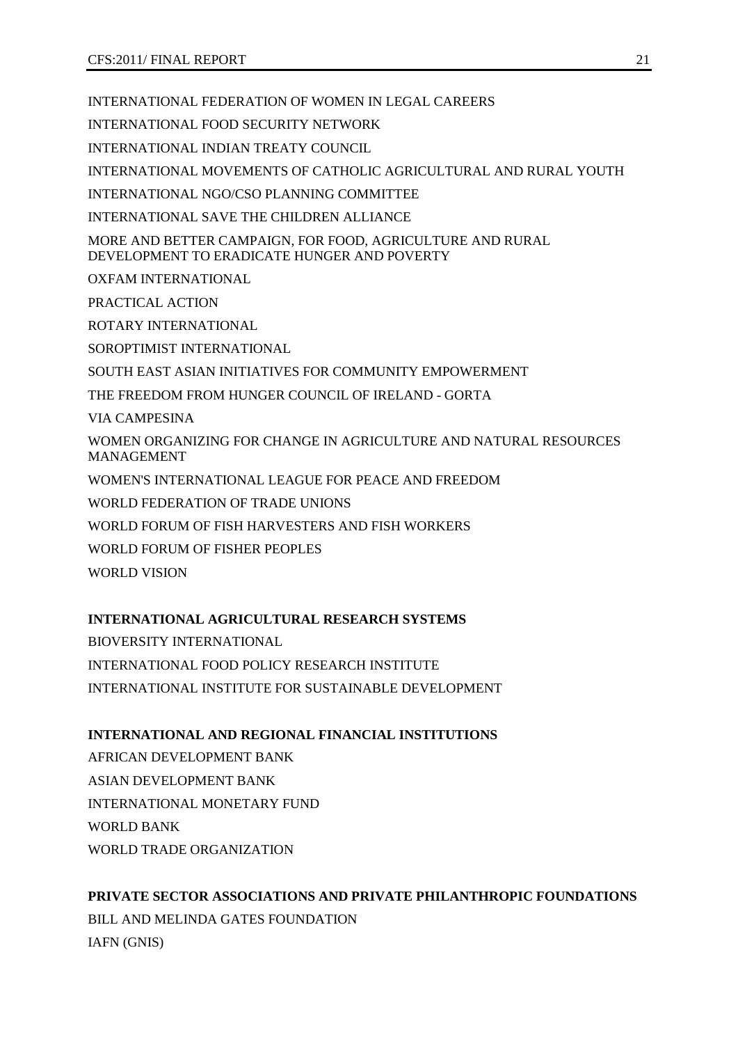INTERNATIONAL FEDERATION OF WOMEN IN LEGAL CAREERS

INTERNATIONAL FOOD SECURITY NETWORK

INTERNATIONAL INDIAN TREATY COUNCIL

INTERNATIONAL MOVEMENTS OF CATHOLIC AGRICULTURAL AND RURAL YOUTH

INTERNATIONAL NGO/CSO PLANNING COMMITTEE

INTERNATIONAL SAVE THE CHILDREN ALLIANCE

MORE AND BETTER CAMPAIGN, FOR FOOD, AGRICULTURE AND RURAL DEVELOPMENT TO ERADICATE HUNGER AND POVERTY

OXFAM INTERNATIONAL

PRACTICAL ACTION

ROTARY INTERNATIONAL

SOROPTIMIST INTERNATIONAL

SOUTH EAST ASIAN INITIATIVES FOR COMMUNITY EMPOWERMENT

THE FREEDOM FROM HUNGER COUNCIL OF IRELAND - GORTA

VIA CAMPESINA

WOMEN ORGANIZING FOR CHANGE IN AGRICULTURE AND NATURAL RESOURCES MANAGEMENT

WOMEN'S INTERNATIONAL LEAGUE FOR PEACE AND FREEDOM

WORLD FEDERATION OF TRADE UNIONS

WORLD FORUM OF FISH HARVESTERS AND FISH WORKERS

WORLD FORUM OF FISHER PEOPLES

WORLD VISION

### **INTERNATIONAL AGRICULTURAL RESEARCH SYSTEMS**

BIOVERSITY INTERNATIONAL INTERNATIONAL FOOD POLICY RESEARCH INSTITUTE INTERNATIONAL INSTITUTE FOR SUSTAINABLE DEVELOPMENT

### **INTERNATIONAL AND REGIONAL FINANCIAL INSTITUTIONS**

AFRICAN DEVELOPMENT BANK ASIAN DEVELOPMENT BANK INTERNATIONAL MONETARY FUND WORLD BANK WORLD TRADE ORGANIZATION

### **PRIVATE SECTOR ASSOCIATIONS AND PRIVATE PHILANTHROPIC FOUNDATIONS**

BILL AND MELINDA GATES FOUNDATION IAFN (GNIS)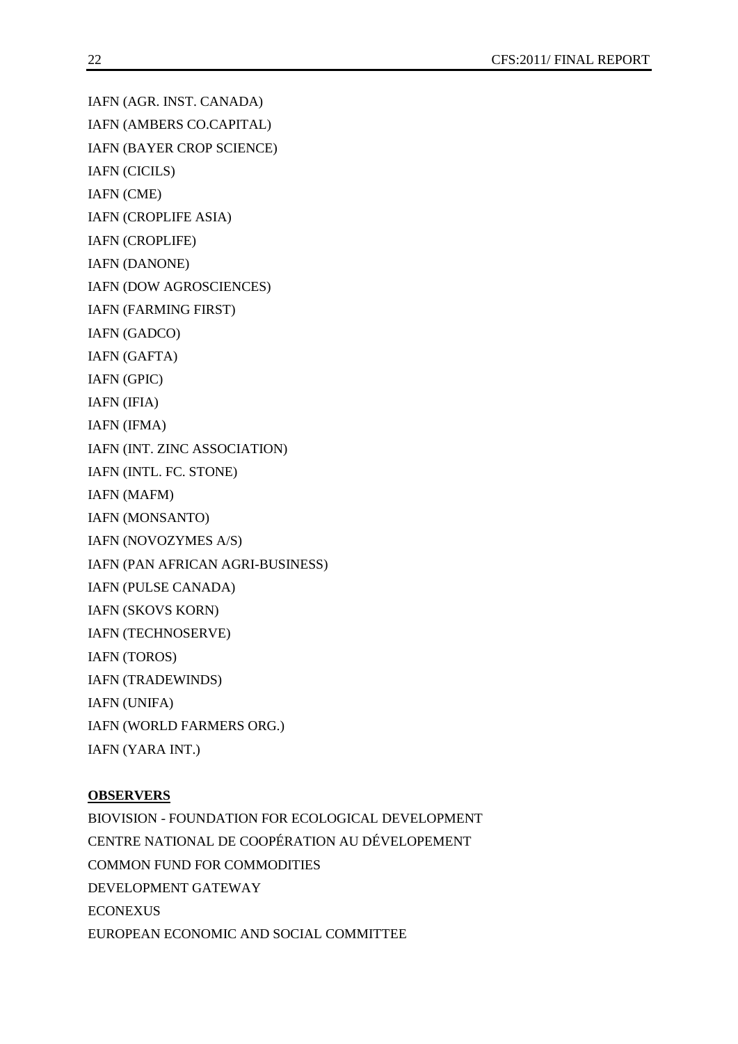IAFN (AGR. INST. CANADA)

IAFN (AMBERS CO.CAPITAL)

IAFN (BAYER CROP SCIENCE)

IAFN (CICILS)

IAFN (CME)

IAFN (CROPLIFE ASIA)

IAFN (CROPLIFE)

IAFN (DANONE)

IAFN (DOW AGROSCIENCES)

IAFN (FARMING FIRST)

IAFN (GADCO)

IAFN (GAFTA)

IAFN (GPIC)

IAFN (IFIA)

IAFN (IFMA)

IAFN (INT. ZINC ASSOCIATION)

IAFN (INTL. FC. STONE)

IAFN (MAFM)

IAFN (MONSANTO)

IAFN (NOVOZYMES A/S)

IAFN (PAN AFRICAN AGRI-BUSINESS)

IAFN (PULSE CANADA)

IAFN (SKOVS KORN)

IAFN (TECHNOSERVE)

IAFN (TOROS)

IAFN (TRADEWINDS)

IAFN (UNIFA)

IAFN (WORLD FARMERS ORG.)

IAFN (YARA INT.)

### **OBSERVERS**

BIOVISION - FOUNDATION FOR ECOLOGICAL DEVELOPMENT CENTRE NATIONAL DE COOPÉRATION AU DÉVELOPEMENT COMMON FUND FOR COMMODITIES DEVELOPMENT GATEWAY ECONEXUS EUROPEAN ECONOMIC AND SOCIAL COMMITTEE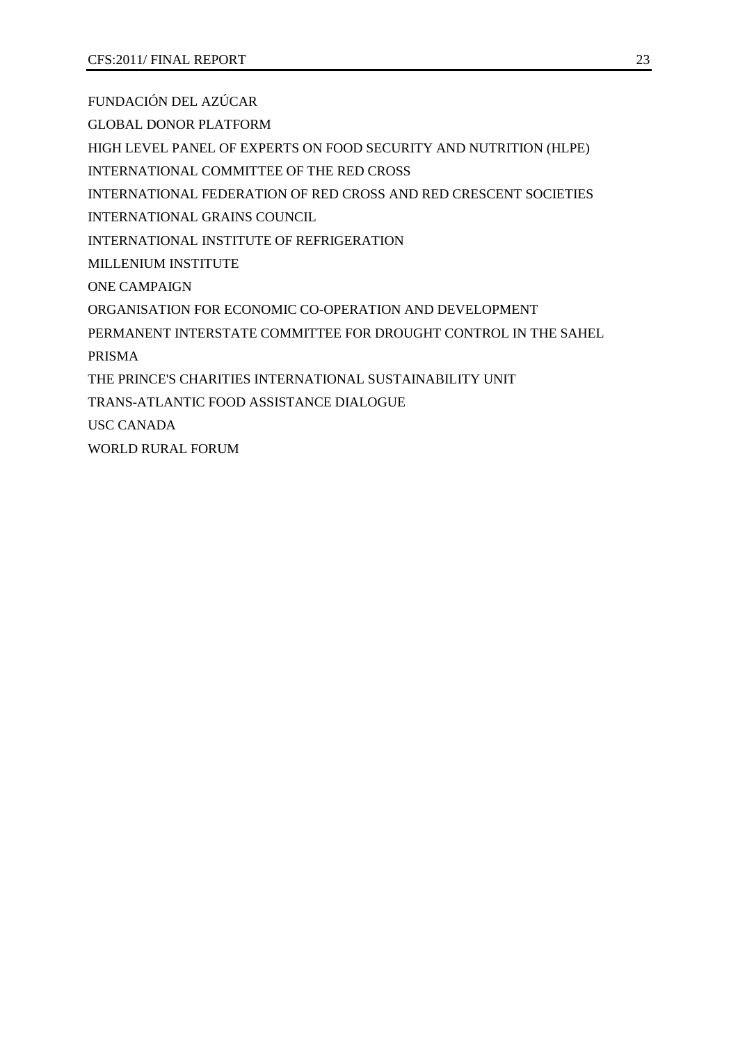FUNDACIÓN DEL AZÚCAR

GLOBAL DONOR PLATFORM

HIGH LEVEL PANEL OF EXPERTS ON FOOD SECURITY AND NUTRITION (HLPE)

INTERNATIONAL COMMITTEE OF THE RED CROSS

INTERNATIONAL FEDERATION OF RED CROSS AND RED CRESCENT SOCIETIES

INTERNATIONAL GRAINS COUNCIL

INTERNATIONAL INSTITUTE OF REFRIGERATION

MILLENIUM INSTITUTE

ONE CAMPAIGN

ORGANISATION FOR ECONOMIC CO-OPERATION AND DEVELOPMENT

PERMANENT INTERSTATE COMMITTEE FOR DROUGHT CONTROL IN THE SAHEL

PRISMA

THE PRINCE'S CHARITIES INTERNATIONAL SUSTAINABILITY UNIT

TRANS-ATLANTIC FOOD ASSISTANCE DIALOGUE

USC CANADA

WORLD RURAL FORUM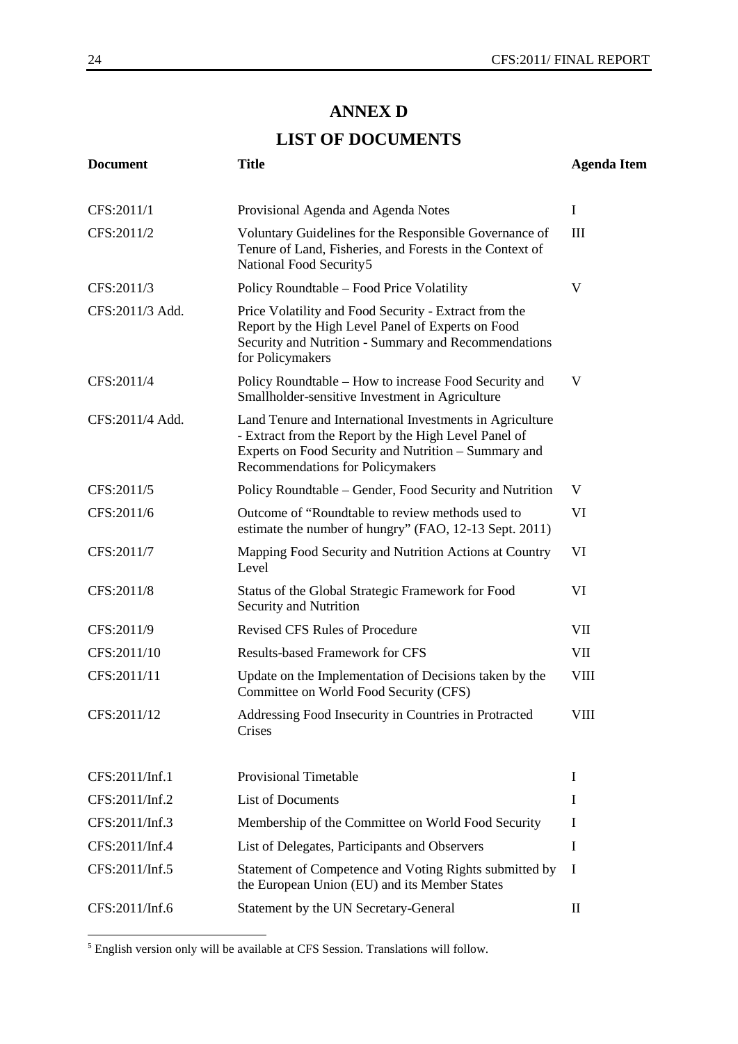### **ANNEX D**

## **LIST OF DOCUMENTS**

| <b>Document</b> | <b>Title</b>                                                                                                                                                                                                 | <b>Agenda Item</b> |
|-----------------|--------------------------------------------------------------------------------------------------------------------------------------------------------------------------------------------------------------|--------------------|
| CFS:2011/1      | Provisional Agenda and Agenda Notes                                                                                                                                                                          | $\bf{I}$           |
| CFS:2011/2      | Voluntary Guidelines for the Responsible Governance of<br>Tenure of Land, Fisheries, and Forests in the Context of<br>National Food Security5                                                                | Ш                  |
| CFS:2011/3      | Policy Roundtable – Food Price Volatility                                                                                                                                                                    | V                  |
| CFS:2011/3 Add. | Price Volatility and Food Security - Extract from the<br>Report by the High Level Panel of Experts on Food<br>Security and Nutrition - Summary and Recommendations<br>for Policymakers                       |                    |
| CFS:2011/4      | Policy Roundtable – How to increase Food Security and<br>Smallholder-sensitive Investment in Agriculture                                                                                                     | V                  |
| CFS:2011/4 Add. | Land Tenure and International Investments in Agriculture<br>- Extract from the Report by the High Level Panel of<br>Experts on Food Security and Nutrition - Summary and<br>Recommendations for Policymakers |                    |
| CFS:2011/5      | Policy Roundtable – Gender, Food Security and Nutrition                                                                                                                                                      | V                  |
| CFS:2011/6      | Outcome of "Roundtable to review methods used to<br>estimate the number of hungry" (FAO, 12-13 Sept. 2011)                                                                                                   | VI                 |
| CFS:2011/7      | Mapping Food Security and Nutrition Actions at Country<br>Level                                                                                                                                              | VI                 |
| CFS:2011/8      | Status of the Global Strategic Framework for Food<br>Security and Nutrition                                                                                                                                  | VI                 |
| CFS:2011/9      | <b>Revised CFS Rules of Procedure</b>                                                                                                                                                                        | VII                |
| CFS:2011/10     | <b>Results-based Framework for CFS</b>                                                                                                                                                                       | VII                |
| CFS:2011/11     | Update on the Implementation of Decisions taken by the<br>Committee on World Food Security (CFS)                                                                                                             | <b>VIII</b>        |
| CFS:2011/12     | Addressing Food Insecurity in Countries in Protracted<br>Crises                                                                                                                                              | VIII               |
| CFS:2011/Inf.1  | <b>Provisional Timetable</b>                                                                                                                                                                                 | $\bf{I}$           |
| CFS:2011/Inf.2  | <b>List of Documents</b>                                                                                                                                                                                     | I                  |
| CFS:2011/Inf.3  | Membership of the Committee on World Food Security                                                                                                                                                           | I                  |
| CFS:2011/Inf.4  | List of Delegates, Participants and Observers                                                                                                                                                                | Ι                  |
| CFS:2011/Inf.5  | Statement of Competence and Voting Rights submitted by<br>the European Union (EU) and its Member States                                                                                                      | I                  |
| CFS:2011/Inf.6  | Statement by the UN Secretary-General                                                                                                                                                                        | П                  |

 $\overline{\text{5}$  English version only will be available at CFS Session. Translations will follow.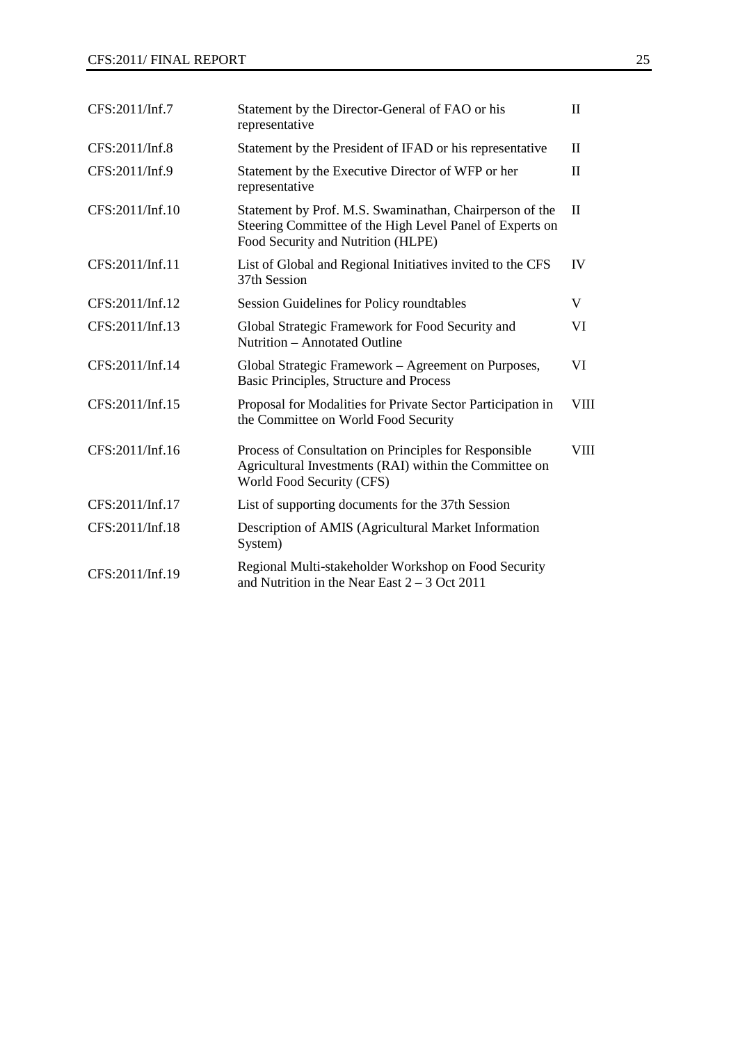| CFS:2011/Inf.7  | Statement by the Director-General of FAO or his<br>representative                                                                                         | $\mathbf{I}$ |
|-----------------|-----------------------------------------------------------------------------------------------------------------------------------------------------------|--------------|
| CFS:2011/Inf.8  | Statement by the President of IFAD or his representative                                                                                                  | $\mathbf{I}$ |
| CFS:2011/Inf.9  | Statement by the Executive Director of WFP or her<br>representative                                                                                       | $\mathbf{I}$ |
| CFS:2011/Inf.10 | Statement by Prof. M.S. Swaminathan, Chairperson of the<br>Steering Committee of the High Level Panel of Experts on<br>Food Security and Nutrition (HLPE) | $\mathbf{I}$ |
| CFS:2011/Inf.11 | List of Global and Regional Initiatives invited to the CFS<br>37th Session                                                                                | IV           |
| CFS:2011/Inf.12 | Session Guidelines for Policy roundtables                                                                                                                 | V            |
| CFS:2011/Inf.13 | Global Strategic Framework for Food Security and<br>Nutrition – Annotated Outline                                                                         | VI           |
| CFS:2011/Inf.14 | Global Strategic Framework - Agreement on Purposes,<br>Basic Principles, Structure and Process                                                            | VI           |
| CFS:2011/Inf.15 | Proposal for Modalities for Private Sector Participation in<br>the Committee on World Food Security                                                       | <b>VIII</b>  |
| CFS:2011/Inf.16 | Process of Consultation on Principles for Responsible<br>Agricultural Investments (RAI) within the Committee on<br>World Food Security (CFS)              | <b>VIII</b>  |
| CFS:2011/Inf.17 | List of supporting documents for the 37th Session                                                                                                         |              |
| CFS:2011/Inf.18 | Description of AMIS (Agricultural Market Information<br>System)                                                                                           |              |
| CFS:2011/Inf.19 | Regional Multi-stakeholder Workshop on Food Security<br>and Nutrition in the Near East $2 - 3$ Oct 2011                                                   |              |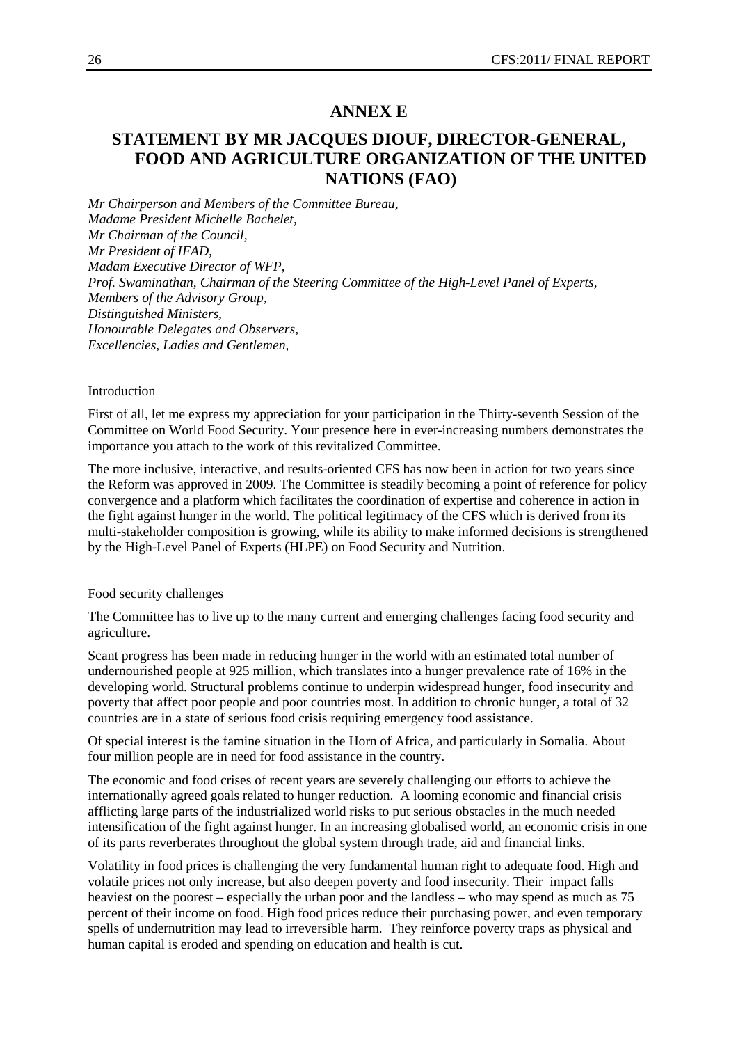### **ANNEX E**

### **STATEMENT BY MR JACQUES DIOUF, DIRECTOR-GENERAL, FOOD AND AGRICULTURE ORGANIZATION OF THE UNITED NATIONS (FAO)**

*Mr Chairperson and Members of the Committee Bureau, Madame President Michelle Bachelet, Mr Chairman of the Council, Mr President of IFAD, Madam Executive Director of WFP, Prof. Swaminathan, Chairman of the Steering Committee of the High-Level Panel of Experts, Members of the Advisory Group, Distinguished Ministers, Honourable Delegates and Observers, Excellencies, Ladies and Gentlemen,*

#### Introduction

First of all, let me express my appreciation for your participation in the Thirty-seventh Session of the Committee on World Food Security. Your presence here in ever-increasing numbers demonstrates the importance you attach to the work of this revitalized Committee.

The more inclusive, interactive, and results-oriented CFS has now been in action for two years since the Reform was approved in 2009. The Committee is steadily becoming a point of reference for policy convergence and a platform which facilitates the coordination of expertise and coherence in action in the fight against hunger in the world. The political legitimacy of the CFS which is derived from its multi-stakeholder composition is growing, while its ability to make informed decisions is strengthened by the High-Level Panel of Experts (HLPE) on Food Security and Nutrition.

#### Food security challenges

The Committee has to live up to the many current and emerging challenges facing food security and agriculture.

Scant progress has been made in reducing hunger in the world with an estimated total number of undernourished people at 925 million, which translates into a hunger prevalence rate of 16% in the developing world. Structural problems continue to underpin widespread hunger, food insecurity and poverty that affect poor people and poor countries most. In addition to chronic hunger, a total of 32 countries are in a state of serious food crisis requiring emergency food assistance.

Of special interest is the famine situation in the Horn of Africa, and particularly in Somalia. About four million people are in need for food assistance in the country.

The economic and food crises of recent years are severely challenging our efforts to achieve the internationally agreed goals related to hunger reduction. A looming economic and financial crisis afflicting large parts of the industrialized world risks to put serious obstacles in the much needed intensification of the fight against hunger. In an increasing globalised world, an economic crisis in one of its parts reverberates throughout the global system through trade, aid and financial links.

Volatility in food prices is challenging the very fundamental human right to adequate food. High and volatile prices not only increase, but also deepen poverty and food insecurity. Their impact falls heaviest on the poorest – especially the urban poor and the landless – who may spend as much as 75 percent of their income on food. High food prices reduce their purchasing power, and even temporary spells of undernutrition may lead to irreversible harm. They reinforce poverty traps as physical and human capital is eroded and spending on education and health is cut.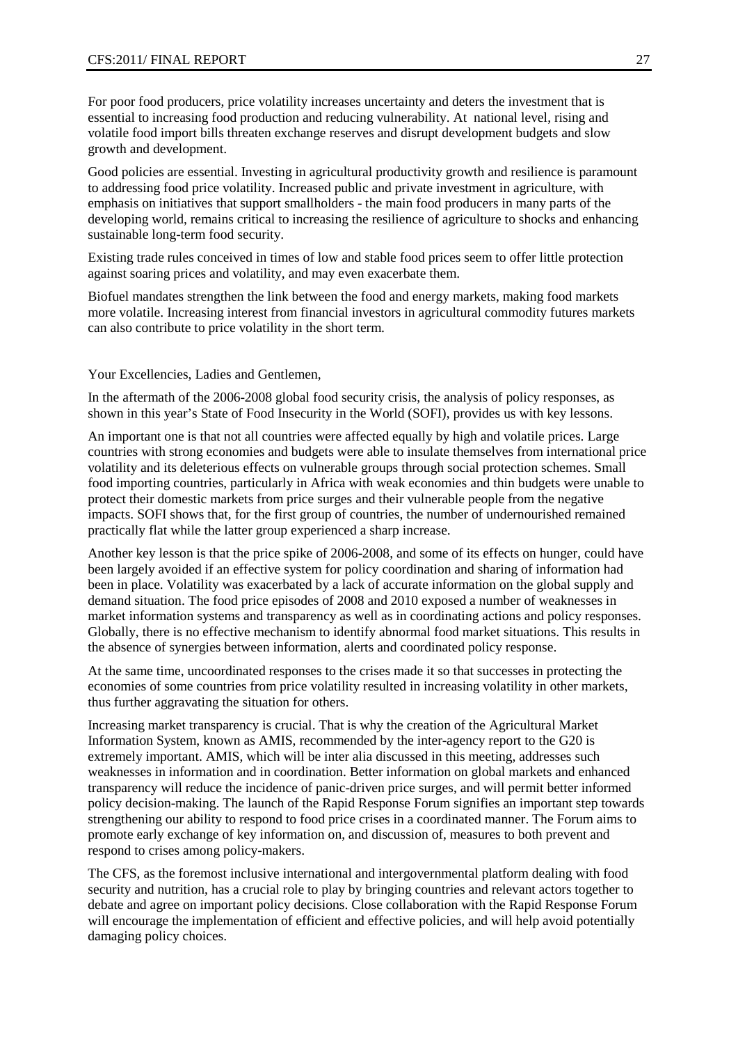For poor food producers, price volatility increases uncertainty and deters the investment that is essential to increasing food production and reducing vulnerability. At national level, rising and volatile food import bills threaten exchange reserves and disrupt development budgets and slow growth and development.

Good policies are essential. Investing in agricultural productivity growth and resilience is paramount to addressing food price volatility. Increased public and private investment in agriculture, with emphasis on initiatives that support smallholders - the main food producers in many parts of the developing world, remains critical to increasing the resilience of agriculture to shocks and enhancing sustainable long-term food security.

Existing trade rules conceived in times of low and stable food prices seem to offer little protection against soaring prices and volatility, and may even exacerbate them.

Biofuel mandates strengthen the link between the food and energy markets, making food markets more volatile. Increasing interest from financial investors in agricultural commodity futures markets can also contribute to price volatility in the short term.

Your Excellencies, Ladies and Gentlemen,

In the aftermath of the 2006-2008 global food security crisis, the analysis of policy responses, as shown in this year's State of Food Insecurity in the World (SOFI), provides us with key lessons.

An important one is that not all countries were affected equally by high and volatile prices. Large countries with strong economies and budgets were able to insulate themselves from international price volatility and its deleterious effects on vulnerable groups through social protection schemes. Small food importing countries, particularly in Africa with weak economies and thin budgets were unable to protect their domestic markets from price surges and their vulnerable people from the negative impacts. SOFI shows that, for the first group of countries, the number of undernourished remained practically flat while the latter group experienced a sharp increase.

Another key lesson is that the price spike of 2006-2008, and some of its effects on hunger, could have been largely avoided if an effective system for policy coordination and sharing of information had been in place. Volatility was exacerbated by a lack of accurate information on the global supply and demand situation. The food price episodes of 2008 and 2010 exposed a number of weaknesses in market information systems and transparency as well as in coordinating actions and policy responses. Globally, there is no effective mechanism to identify abnormal food market situations. This results in the absence of synergies between information, alerts and coordinated policy response.

At the same time, uncoordinated responses to the crises made it so that successes in protecting the economies of some countries from price volatility resulted in increasing volatility in other markets, thus further aggravating the situation for others.

Increasing market transparency is crucial. That is why the creation of the Agricultural Market Information System, known as AMIS, recommended by the inter-agency report to the G20 is extremely important. AMIS, which will be inter alia discussed in this meeting, addresses such weaknesses in information and in coordination. Better information on global markets and enhanced transparency will reduce the incidence of panic-driven price surges, and will permit better informed policy decision-making. The launch of the Rapid Response Forum signifies an important step towards strengthening our ability to respond to food price crises in a coordinated manner. The Forum aims to promote early exchange of key information on, and discussion of, measures to both prevent and respond to crises among policy-makers.

The CFS, as the foremost inclusive international and intergovernmental platform dealing with food security and nutrition, has a crucial role to play by bringing countries and relevant actors together to debate and agree on important policy decisions. Close collaboration with the Rapid Response Forum will encourage the implementation of efficient and effective policies, and will help avoid potentially damaging policy choices.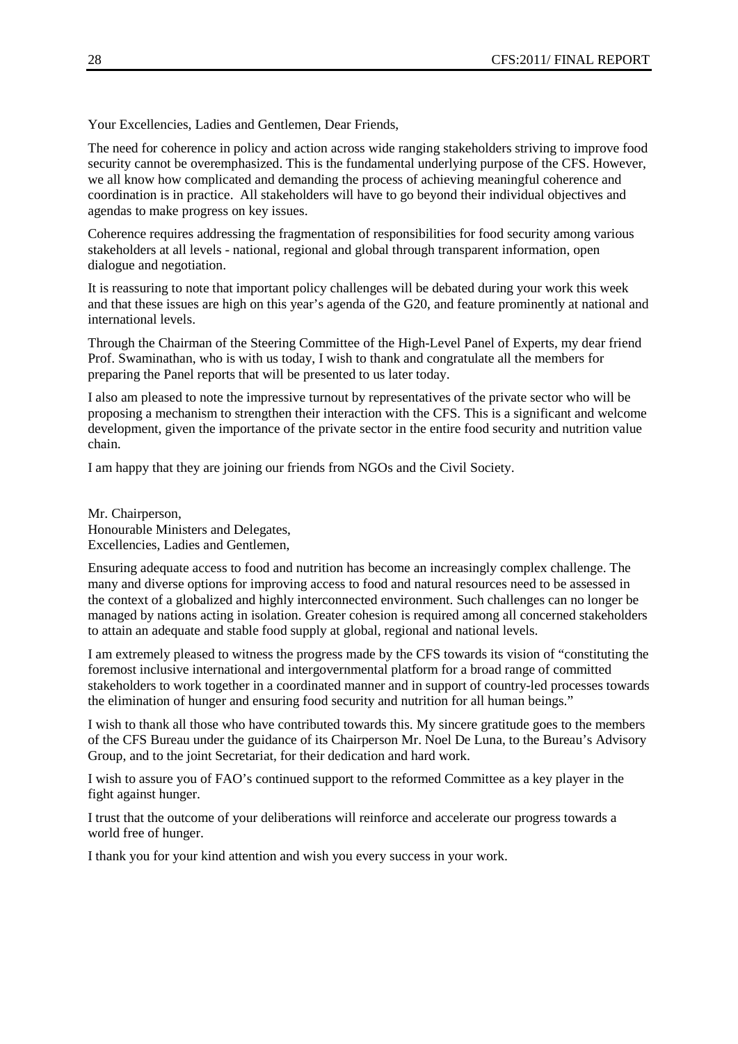Your Excellencies, Ladies and Gentlemen, Dear Friends,

The need for coherence in policy and action across wide ranging stakeholders striving to improve food security cannot be overemphasized. This is the fundamental underlying purpose of the CFS. However, we all know how complicated and demanding the process of achieving meaningful coherence and coordination is in practice. All stakeholders will have to go beyond their individual objectives and agendas to make progress on key issues.

Coherence requires addressing the fragmentation of responsibilities for food security among various stakeholders at all levels - national, regional and global through transparent information, open dialogue and negotiation.

It is reassuring to note that important policy challenges will be debated during your work this week and that these issues are high on this year's agenda of the G20, and feature prominently at national and international levels.

Through the Chairman of the Steering Committee of the High-Level Panel of Experts, my dear friend Prof. Swaminathan, who is with us today, I wish to thank and congratulate all the members for preparing the Panel reports that will be presented to us later today.

I also am pleased to note the impressive turnout by representatives of the private sector who will be proposing a mechanism to strengthen their interaction with the CFS. This is a significant and welcome development, given the importance of the private sector in the entire food security and nutrition value chain.

I am happy that they are joining our friends from NGOs and the Civil Society.

Mr. Chairperson, Honourable Ministers and Delegates, Excellencies, Ladies and Gentlemen,

Ensuring adequate access to food and nutrition has become an increasingly complex challenge. The many and diverse options for improving access to food and natural resources need to be assessed in the context of a globalized and highly interconnected environment. Such challenges can no longer be managed by nations acting in isolation. Greater cohesion is required among all concerned stakeholders to attain an adequate and stable food supply at global, regional and national levels.

I am extremely pleased to witness the progress made by the CFS towards its vision of "constituting the foremost inclusive international and intergovernmental platform for a broad range of committed stakeholders to work together in a coordinated manner and in support of country-led processes towards the elimination of hunger and ensuring food security and nutrition for all human beings."

I wish to thank all those who have contributed towards this. My sincere gratitude goes to the members of the CFS Bureau under the guidance of its Chairperson Mr. Noel De Luna, to the Bureau's Advisory Group, and to the joint Secretariat, for their dedication and hard work.

I wish to assure you of FAO's continued support to the reformed Committee as a key player in the fight against hunger.

I trust that the outcome of your deliberations will reinforce and accelerate our progress towards a world free of hunger.

I thank you for your kind attention and wish you every success in your work.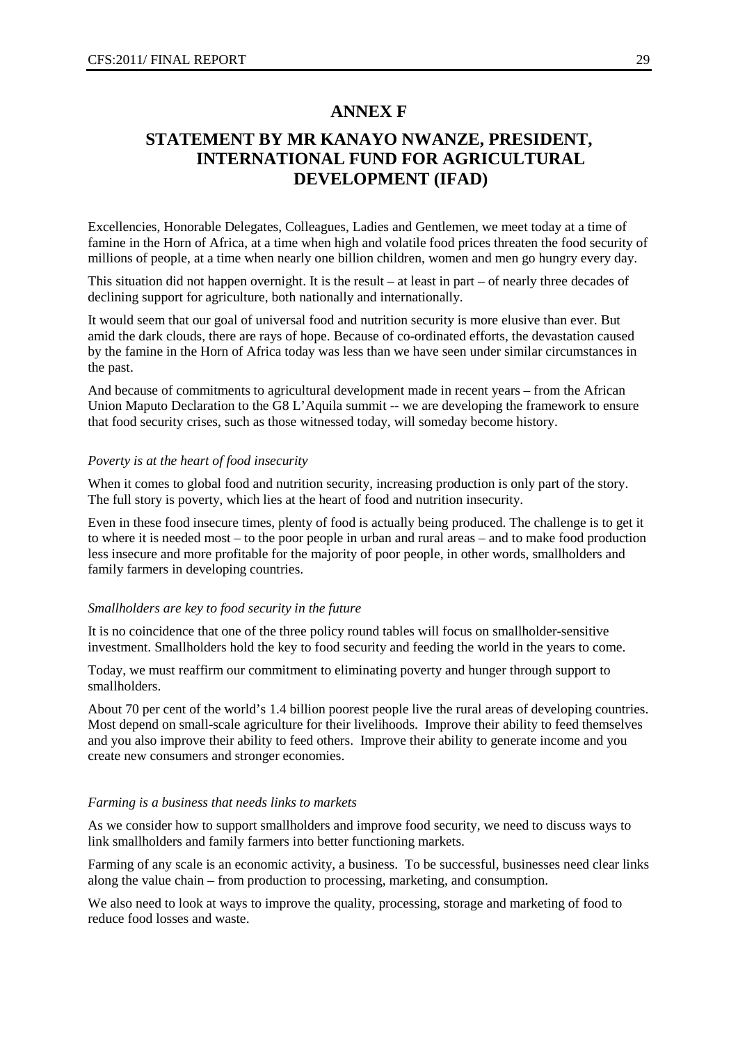### **ANNEX F**

### **STATEMENT BY MR KANAYO NWANZE, PRESIDENT, INTERNATIONAL FUND FOR AGRICULTURAL DEVELOPMENT (IFAD)**

Excellencies, Honorable Delegates, Colleagues, Ladies and Gentlemen, we meet today at a time of famine in the Horn of Africa, at a time when high and volatile food prices threaten the food security of millions of people, at a time when nearly one billion children, women and men go hungry every day.

This situation did not happen overnight. It is the result – at least in part – of nearly three decades of declining support for agriculture, both nationally and internationally.

It would seem that our goal of universal food and nutrition security is more elusive than ever. But amid the dark clouds, there are rays of hope. Because of co-ordinated efforts, the devastation caused by the famine in the Horn of Africa today was less than we have seen under similar circumstances in the past.

And because of commitments to agricultural development made in recent years – from the African Union Maputo Declaration to the G8 L'Aquila summit -- we are developing the framework to ensure that food security crises, such as those witnessed today, will someday become history.

#### *Poverty is at the heart of food insecurity*

When it comes to global food and nutrition security, increasing production is only part of the story. The full story is poverty, which lies at the heart of food and nutrition insecurity.

Even in these food insecure times, plenty of food is actually being produced. The challenge is to get it to where it is needed most – to the poor people in urban and rural areas – and to make food production less insecure and more profitable for the majority of poor people, in other words, smallholders and family farmers in developing countries.

#### *Smallholders are key to food security in the future*

It is no coincidence that one of the three policy round tables will focus on smallholder-sensitive investment. Smallholders hold the key to food security and feeding the world in the years to come.

Today, we must reaffirm our commitment to eliminating poverty and hunger through support to smallholders.

About 70 per cent of the world's 1.4 billion poorest people live the rural areas of developing countries. Most depend on small-scale agriculture for their livelihoods. Improve their ability to feed themselves and you also improve their ability to feed others. Improve their ability to generate income and you create new consumers and stronger economies.

#### *Farming is a business that needs links to markets*

As we consider how to support smallholders and improve food security, we need to discuss ways to link smallholders and family farmers into better functioning markets.

Farming of any scale is an economic activity, a business. To be successful, businesses need clear links along the value chain – from production to processing, marketing, and consumption.

We also need to look at ways to improve the quality, processing, storage and marketing of food to reduce food losses and waste.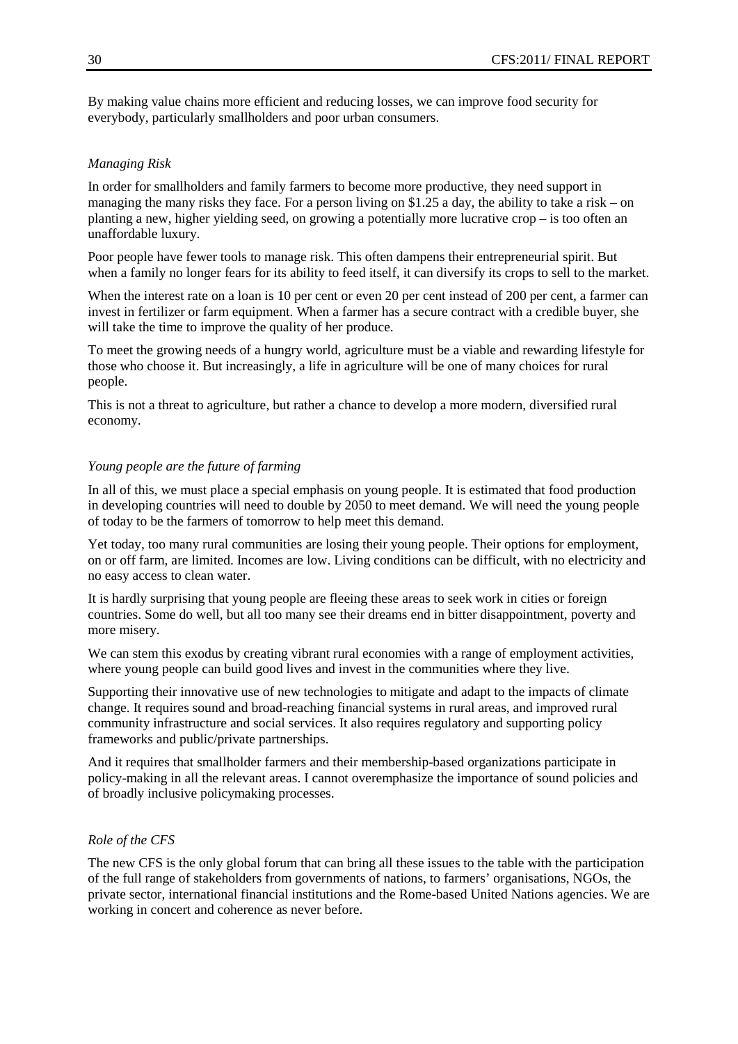By making value chains more efficient and reducing losses, we can improve food security for everybody, particularly smallholders and poor urban consumers.

#### *Managing Risk*

In order for smallholders and family farmers to become more productive, they need support in managing the many risks they face. For a person living on \$1.25 a day, the ability to take a risk – on planting a new, higher yielding seed, on growing a potentially more lucrative crop – is too often an unaffordable luxury.

Poor people have fewer tools to manage risk. This often dampens their entrepreneurial spirit. But when a family no longer fears for its ability to feed itself, it can diversify its crops to sell to the market.

When the interest rate on a loan is 10 per cent or even 20 per cent instead of 200 per cent, a farmer can invest in fertilizer or farm equipment. When a farmer has a secure contract with a credible buyer, she will take the time to improve the quality of her produce.

To meet the growing needs of a hungry world, agriculture must be a viable and rewarding lifestyle for those who choose it. But increasingly, a life in agriculture will be one of many choices for rural people.

This is not a threat to agriculture, but rather a chance to develop a more modern, diversified rural economy.

#### *Young people are the future of farming*

In all of this, we must place a special emphasis on young people. It is estimated that food production in developing countries will need to double by 2050 to meet demand. We will need the young people of today to be the farmers of tomorrow to help meet this demand.

Yet today, too many rural communities are losing their young people. Their options for employment, on or off farm, are limited. Incomes are low. Living conditions can be difficult, with no electricity and no easy access to clean water.

It is hardly surprising that young people are fleeing these areas to seek work in cities or foreign countries. Some do well, but all too many see their dreams end in bitter disappointment, poverty and more misery.

We can stem this exodus by creating vibrant rural economies with a range of employment activities, where young people can build good lives and invest in the communities where they live.

Supporting their innovative use of new technologies to mitigate and adapt to the impacts of climate change. It requires sound and broad-reaching financial systems in rural areas, and improved rural community infrastructure and social services. It also requires regulatory and supporting policy frameworks and public/private partnerships.

And it requires that smallholder farmers and their membership-based organizations participate in policy-making in all the relevant areas. I cannot overemphasize the importance of sound policies and of broadly inclusive policymaking processes.

#### *Role of the CFS*

The new CFS is the only global forum that can bring all these issues to the table with the participation of the full range of stakeholders from governments of nations, to farmers' organisations, NGOs, the private sector, international financial institutions and the Rome-based United Nations agencies. We are working in concert and coherence as never before.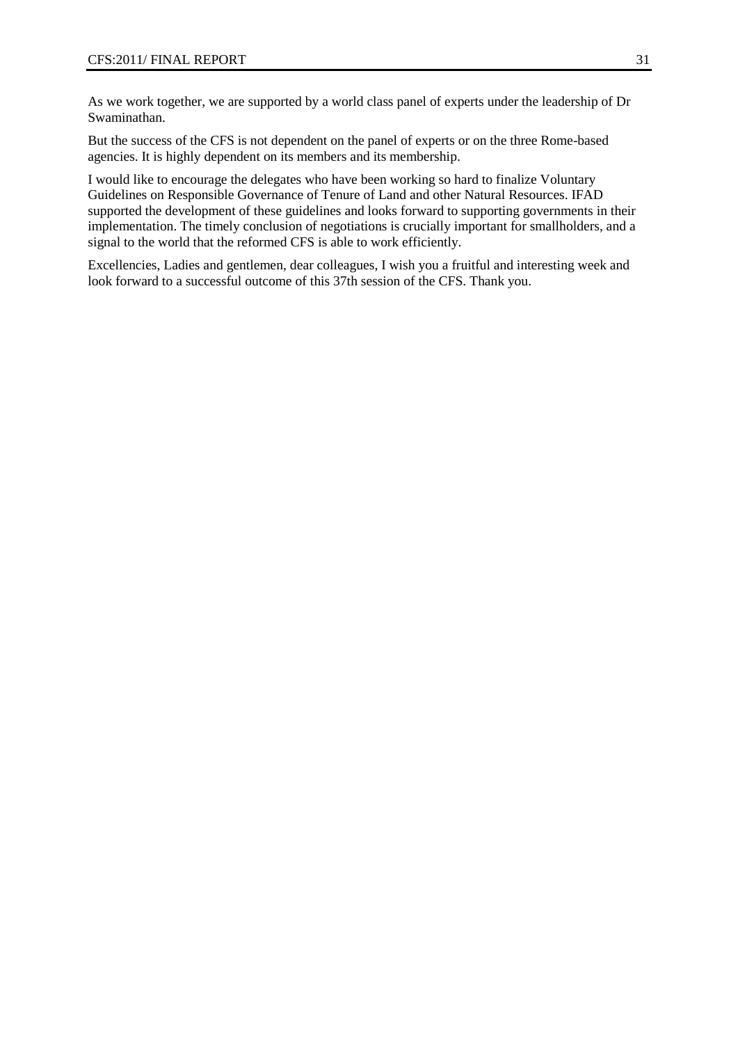As we work together, we are supported by a world class panel of experts under the leadership of Dr Swaminathan.

But the success of the CFS is not dependent on the panel of experts or on the three Rome-based agencies. It is highly dependent on its members and its membership.

I would like to encourage the delegates who have been working so hard to finalize Voluntary Guidelines on Responsible Governance of Tenure of Land and other Natural Resources. IFAD supported the development of these guidelines and looks forward to supporting governments in their implementation. The timely conclusion of negotiations is crucially important for smallholders, and a signal to the world that the reformed CFS is able to work efficiently.

Excellencies, Ladies and gentlemen, dear colleagues, I wish you a fruitful and interesting week and look forward to a successful outcome of this 37th session of the CFS. Thank you.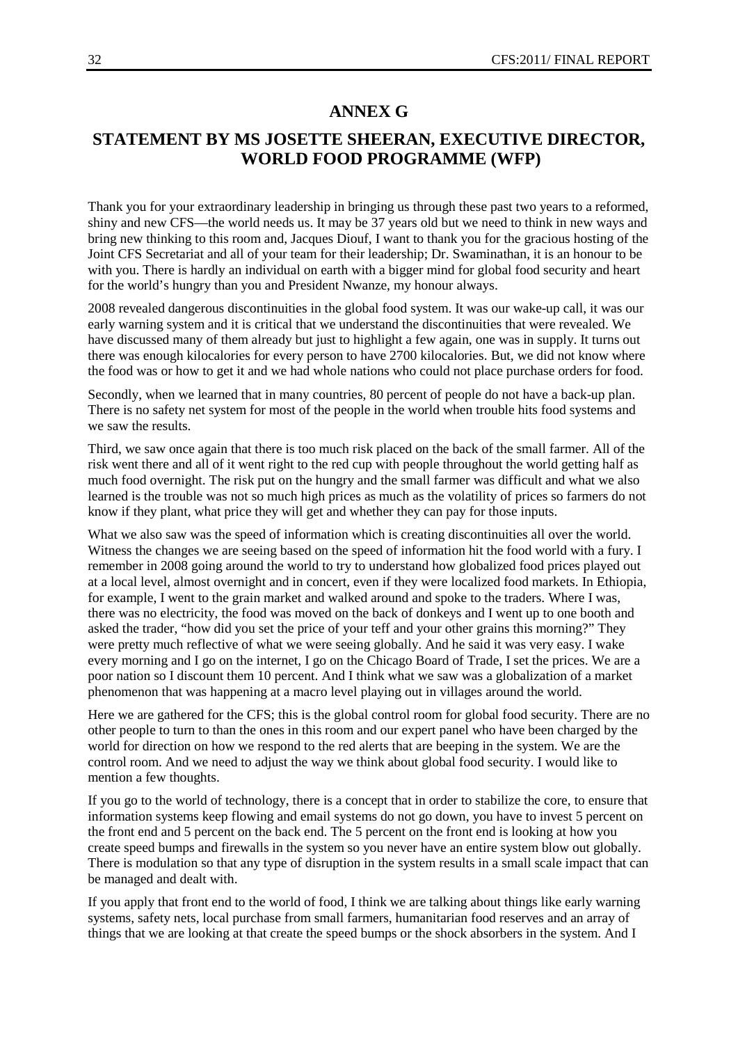### **ANNEX G**

### **STATEMENT BY MS JOSETTE SHEERAN, EXECUTIVE DIRECTOR, WORLD FOOD PROGRAMME (WFP)**

Thank you for your extraordinary leadership in bringing us through these past two years to a reformed, shiny and new CFS—the world needs us. It may be 37 years old but we need to think in new ways and bring new thinking to this room and, Jacques Diouf, I want to thank you for the gracious hosting of the Joint CFS Secretariat and all of your team for their leadership; Dr. Swaminathan, it is an honour to be with you. There is hardly an individual on earth with a bigger mind for global food security and heart for the world's hungry than you and President Nwanze, my honour always.

2008 revealed dangerous discontinuities in the global food system. It was our wake-up call, it was our early warning system and it is critical that we understand the discontinuities that were revealed. We have discussed many of them already but just to highlight a few again, one was in supply. It turns out there was enough kilocalories for every person to have 2700 kilocalories. But, we did not know where the food was or how to get it and we had whole nations who could not place purchase orders for food.

Secondly, when we learned that in many countries, 80 percent of people do not have a back-up plan. There is no safety net system for most of the people in the world when trouble hits food systems and we saw the results.

Third, we saw once again that there is too much risk placed on the back of the small farmer. All of the risk went there and all of it went right to the red cup with people throughout the world getting half as much food overnight. The risk put on the hungry and the small farmer was difficult and what we also learned is the trouble was not so much high prices as much as the volatility of prices so farmers do not know if they plant, what price they will get and whether they can pay for those inputs.

What we also saw was the speed of information which is creating discontinuities all over the world. Witness the changes we are seeing based on the speed of information hit the food world with a fury. I remember in 2008 going around the world to try to understand how globalized food prices played out at a local level, almost overnight and in concert, even if they were localized food markets. In Ethiopia, for example, I went to the grain market and walked around and spoke to the traders. Where I was, there was no electricity, the food was moved on the back of donkeys and I went up to one booth and asked the trader, "how did you set the price of your teff and your other grains this morning?" They were pretty much reflective of what we were seeing globally. And he said it was very easy. I wake every morning and I go on the internet, I go on the Chicago Board of Trade, I set the prices. We are a poor nation so I discount them 10 percent. And I think what we saw was a globalization of a market phenomenon that was happening at a macro level playing out in villages around the world.

Here we are gathered for the CFS; this is the global control room for global food security. There are no other people to turn to than the ones in this room and our expert panel who have been charged by the world for direction on how we respond to the red alerts that are beeping in the system. We are the control room. And we need to adjust the way we think about global food security. I would like to mention a few thoughts.

If you go to the world of technology, there is a concept that in order to stabilize the core, to ensure that information systems keep flowing and email systems do not go down, you have to invest 5 percent on the front end and 5 percent on the back end. The 5 percent on the front end is looking at how you create speed bumps and firewalls in the system so you never have an entire system blow out globally. There is modulation so that any type of disruption in the system results in a small scale impact that can be managed and dealt with.

If you apply that front end to the world of food, I think we are talking about things like early warning systems, safety nets, local purchase from small farmers, humanitarian food reserves and an array of things that we are looking at that create the speed bumps or the shock absorbers in the system. And I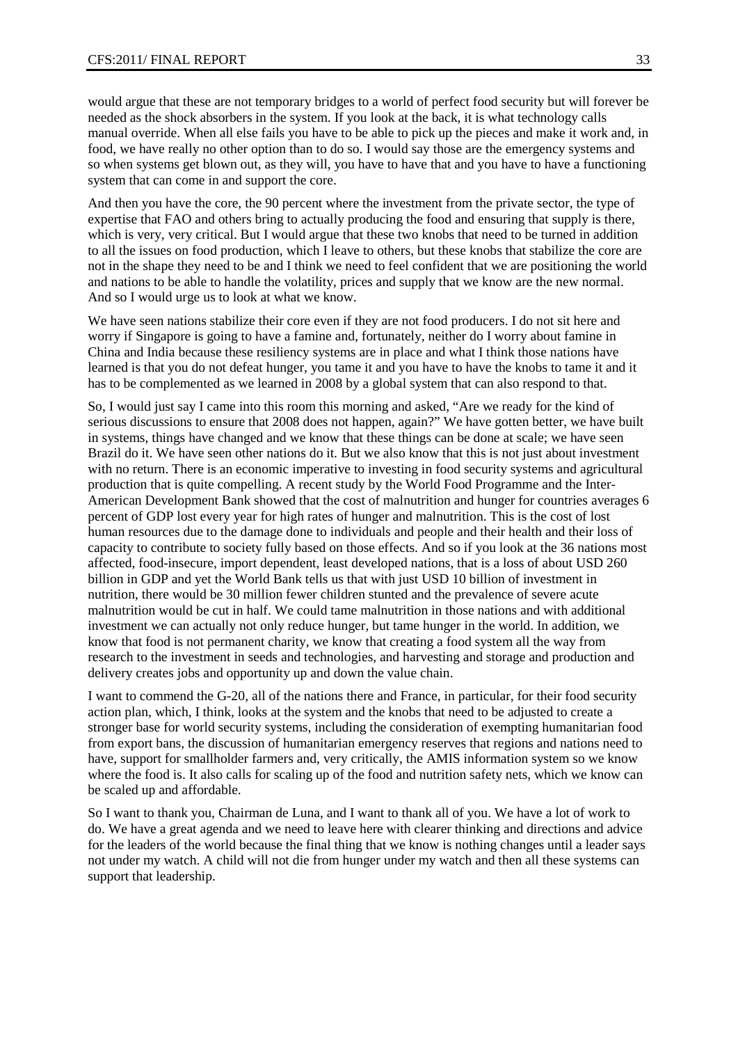would argue that these are not temporary bridges to a world of perfect food security but will forever be needed as the shock absorbers in the system. If you look at the back, it is what technology calls manual override. When all else fails you have to be able to pick up the pieces and make it work and, in food, we have really no other option than to do so. I would say those are the emergency systems and so when systems get blown out, as they will, you have to have that and you have to have a functioning system that can come in and support the core.

And then you have the core, the 90 percent where the investment from the private sector, the type of expertise that FAO and others bring to actually producing the food and ensuring that supply is there, which is very, very critical. But I would argue that these two knobs that need to be turned in addition to all the issues on food production, which I leave to others, but these knobs that stabilize the core are not in the shape they need to be and I think we need to feel confident that we are positioning the world and nations to be able to handle the volatility, prices and supply that we know are the new normal. And so I would urge us to look at what we know.

We have seen nations stabilize their core even if they are not food producers. I do not sit here and worry if Singapore is going to have a famine and, fortunately, neither do I worry about famine in China and India because these resiliency systems are in place and what I think those nations have learned is that you do not defeat hunger, you tame it and you have to have the knobs to tame it and it has to be complemented as we learned in 2008 by a global system that can also respond to that.

So, I would just say I came into this room this morning and asked, "Are we ready for the kind of serious discussions to ensure that 2008 does not happen, again?" We have gotten better, we have built in systems, things have changed and we know that these things can be done at scale; we have seen Brazil do it. We have seen other nations do it. But we also know that this is not just about investment with no return. There is an economic imperative to investing in food security systems and agricultural production that is quite compelling. A recent study by the World Food Programme and the Inter-American Development Bank showed that the cost of malnutrition and hunger for countries averages 6 percent of GDP lost every year for high rates of hunger and malnutrition. This is the cost of lost human resources due to the damage done to individuals and people and their health and their loss of capacity to contribute to society fully based on those effects. And so if you look at the 36 nations most affected, food-insecure, import dependent, least developed nations, that is a loss of about USD 260 billion in GDP and yet the World Bank tells us that with just USD 10 billion of investment in nutrition, there would be 30 million fewer children stunted and the prevalence of severe acute malnutrition would be cut in half. We could tame malnutrition in those nations and with additional investment we can actually not only reduce hunger, but tame hunger in the world. In addition, we know that food is not permanent charity, we know that creating a food system all the way from research to the investment in seeds and technologies, and harvesting and storage and production and delivery creates jobs and opportunity up and down the value chain.

I want to commend the G-20, all of the nations there and France, in particular, for their food security action plan, which, I think, looks at the system and the knobs that need to be adjusted to create a stronger base for world security systems, including the consideration of exempting humanitarian food from export bans, the discussion of humanitarian emergency reserves that regions and nations need to have, support for smallholder farmers and, very critically, the AMIS information system so we know where the food is. It also calls for scaling up of the food and nutrition safety nets, which we know can be scaled up and affordable.

So I want to thank you, Chairman de Luna, and I want to thank all of you. We have a lot of work to do. We have a great agenda and we need to leave here with clearer thinking and directions and advice for the leaders of the world because the final thing that we know is nothing changes until a leader says not under my watch. A child will not die from hunger under my watch and then all these systems can support that leadership.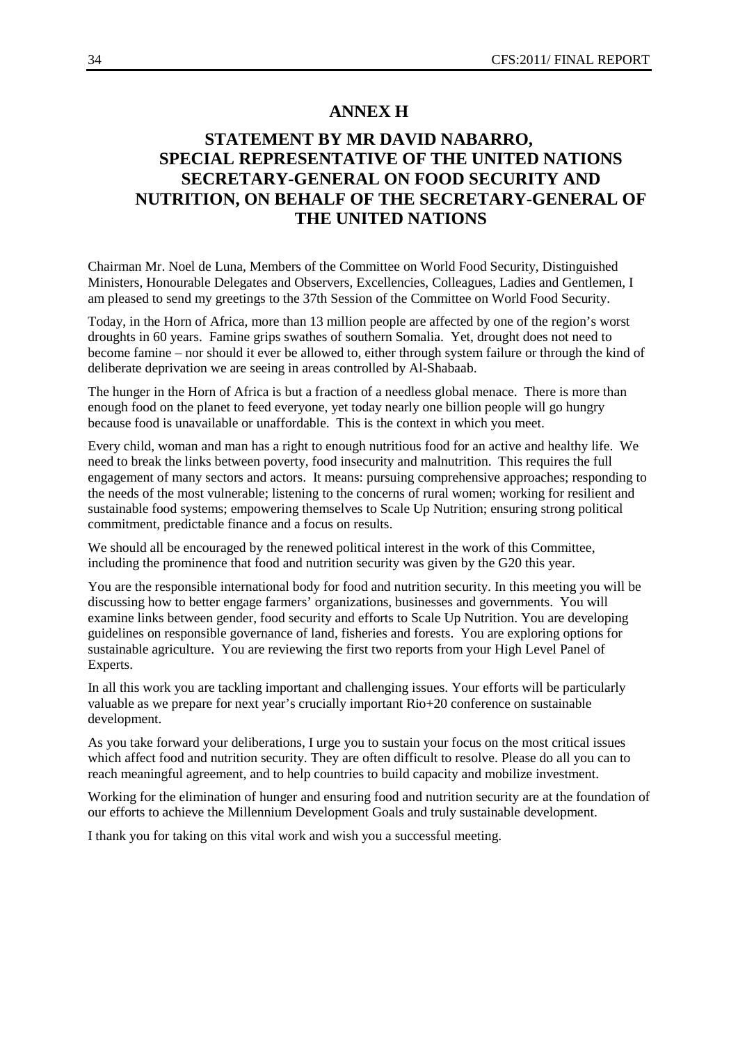### **ANNEX H**

### **STATEMENT BY MR DAVID NABARRO, SPECIAL REPRESENTATIVE OF THE UNITED NATIONS SECRETARY-GENERAL ON FOOD SECURITY AND NUTRITION, ON BEHALF OF THE SECRETARY-GENERAL OF THE UNITED NATIONS**

Chairman Mr. Noel de Luna, Members of the Committee on World Food Security, Distinguished Ministers, Honourable Delegates and Observers, Excellencies, Colleagues, Ladies and Gentlemen, I am pleased to send my greetings to the 37th Session of the Committee on World Food Security.

Today, in the Horn of Africa, more than 13 million people are affected by one of the region's worst droughts in 60 years. Famine grips swathes of southern Somalia. Yet, drought does not need to become famine – nor should it ever be allowed to, either through system failure or through the kind of deliberate deprivation we are seeing in areas controlled by Al-Shabaab.

The hunger in the Horn of Africa is but a fraction of a needless global menace. There is more than enough food on the planet to feed everyone, yet today nearly one billion people will go hungry because food is unavailable or unaffordable. This is the context in which you meet.

Every child, woman and man has a right to enough nutritious food for an active and healthy life. We need to break the links between poverty, food insecurity and malnutrition. This requires the full engagement of many sectors and actors. It means: pursuing comprehensive approaches; responding to the needs of the most vulnerable; listening to the concerns of rural women; working for resilient and sustainable food systems; empowering themselves to Scale Up Nutrition; ensuring strong political commitment, predictable finance and a focus on results.

We should all be encouraged by the renewed political interest in the work of this Committee, including the prominence that food and nutrition security was given by the G20 this year.

You are the responsible international body for food and nutrition security. In this meeting you will be discussing how to better engage farmers' organizations, businesses and governments. You will examine links between gender, food security and efforts to Scale Up Nutrition. You are developing guidelines on responsible governance of land, fisheries and forests. You are exploring options for sustainable agriculture. You are reviewing the first two reports from your High Level Panel of Experts.

In all this work you are tackling important and challenging issues. Your efforts will be particularly valuable as we prepare for next year's crucially important Rio+20 conference on sustainable development.

As you take forward your deliberations, I urge you to sustain your focus on the most critical issues which affect food and nutrition security. They are often difficult to resolve. Please do all you can to reach meaningful agreement, and to help countries to build capacity and mobilize investment.

Working for the elimination of hunger and ensuring food and nutrition security are at the foundation of our efforts to achieve the Millennium Development Goals and truly sustainable development.

I thank you for taking on this vital work and wish you a successful meeting.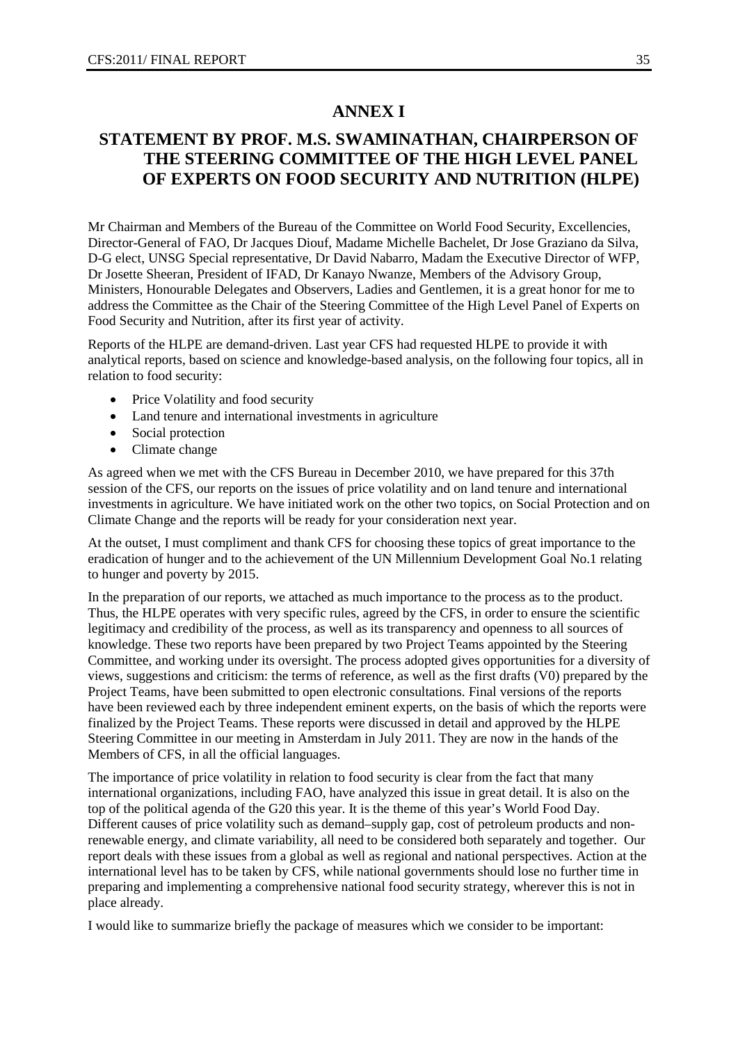### **ANNEX I**

### **STATEMENT BY PROF. M.S. SWAMINATHAN, CHAIRPERSON OF THE STEERING COMMITTEE OF THE HIGH LEVEL PANEL OF EXPERTS ON FOOD SECURITY AND NUTRITION (HLPE)**

Mr Chairman and Members of the Bureau of the Committee on World Food Security, Excellencies, Director-General of FAO, Dr Jacques Diouf, Madame Michelle Bachelet, Dr Jose Graziano da Silva, D-G elect, UNSG Special representative, Dr David Nabarro, Madam the Executive Director of WFP, Dr Josette Sheeran, President of IFAD, Dr Kanayo Nwanze, Members of the Advisory Group, Ministers, Honourable Delegates and Observers, Ladies and Gentlemen, it is a great honor for me to address the Committee as the Chair of the Steering Committee of the High Level Panel of Experts on Food Security and Nutrition, after its first year of activity.

Reports of the HLPE are demand-driven. Last year CFS had requested HLPE to provide it with analytical reports, based on science and knowledge-based analysis, on the following four topics, all in relation to food security:

- Price Volatility and food security
- Land tenure and international investments in agriculture
- Social protection
- Climate change

As agreed when we met with the CFS Bureau in December 2010, we have prepared for this 37th session of the CFS, our reports on the issues of price volatility and on land tenure and international investments in agriculture. We have initiated work on the other two topics, on Social Protection and on Climate Change and the reports will be ready for your consideration next year.

At the outset, I must compliment and thank CFS for choosing these topics of great importance to the eradication of hunger and to the achievement of the UN Millennium Development Goal No.1 relating to hunger and poverty by 2015.

In the preparation of our reports, we attached as much importance to the process as to the product. Thus, the HLPE operates with very specific rules, agreed by the CFS, in order to ensure the scientific legitimacy and credibility of the process, as well as its transparency and openness to all sources of knowledge. These two reports have been prepared by two Project Teams appointed by the Steering Committee, and working under its oversight. The process adopted gives opportunities for a diversity of views, suggestions and criticism: the terms of reference, as well as the first drafts (V0) prepared by the Project Teams, have been submitted to open electronic consultations. Final versions of the reports have been reviewed each by three independent eminent experts, on the basis of which the reports were finalized by the Project Teams. These reports were discussed in detail and approved by the HLPE Steering Committee in our meeting in Amsterdam in July 2011. They are now in the hands of the Members of CFS, in all the official languages.

The importance of price volatility in relation to food security is clear from the fact that many international organizations, including FAO, have analyzed this issue in great detail. It is also on the top of the political agenda of the G20 this year. It is the theme of this year's World Food Day. Different causes of price volatility such as demand–supply gap, cost of petroleum products and nonrenewable energy, and climate variability, all need to be considered both separately and together. Our report deals with these issues from a global as well as regional and national perspectives. Action at the international level has to be taken by CFS, while national governments should lose no further time in preparing and implementing a comprehensive national food security strategy, wherever this is not in place already.

I would like to summarize briefly the package of measures which we consider to be important: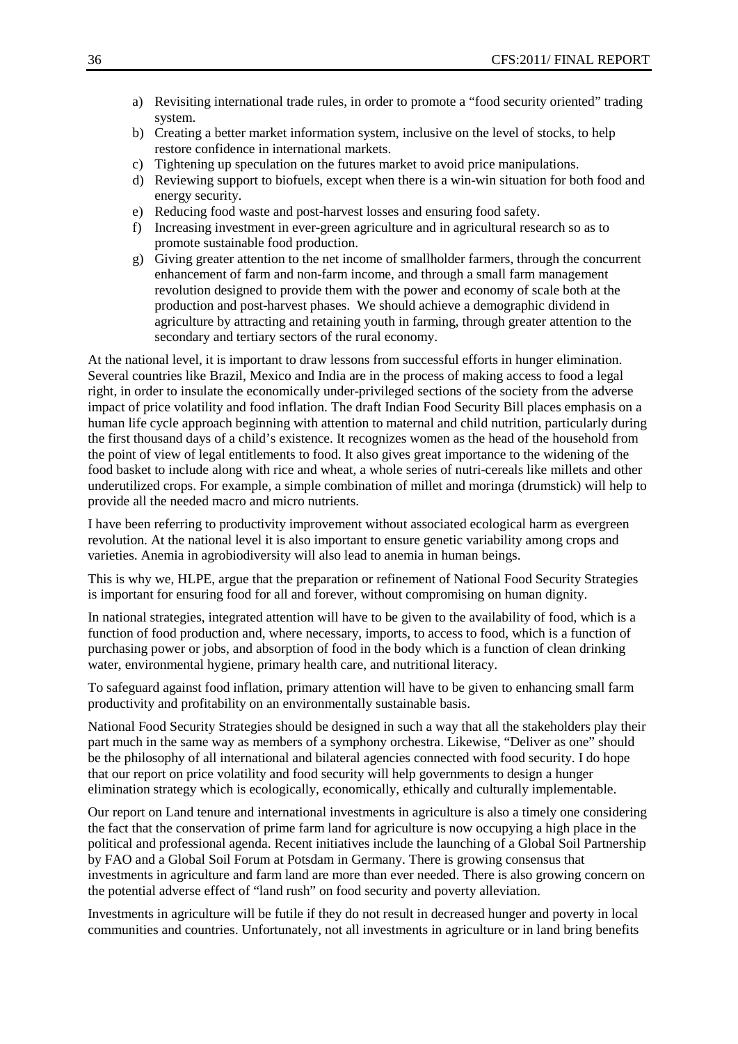- a) Revisiting international trade rules, in order to promote a "food security oriented" trading system.
- b) Creating a better market information system, inclusive on the level of stocks, to help restore confidence in international markets.
- c) Tightening up speculation on the futures market to avoid price manipulations.
- d) Reviewing support to biofuels, except when there is a win-win situation for both food and energy security.
- e) Reducing food waste and post-harvest losses and ensuring food safety.
- f) Increasing investment in ever-green agriculture and in agricultural research so as to promote sustainable food production.
- g) Giving greater attention to the net income of smallholder farmers, through the concurrent enhancement of farm and non-farm income, and through a small farm management revolution designed to provide them with the power and economy of scale both at the production and post-harvest phases. We should achieve a demographic dividend in agriculture by attracting and retaining youth in farming, through greater attention to the secondary and tertiary sectors of the rural economy.

At the national level, it is important to draw lessons from successful efforts in hunger elimination. Several countries like Brazil, Mexico and India are in the process of making access to food a legal right, in order to insulate the economically under-privileged sections of the society from the adverse impact of price volatility and food inflation. The draft Indian Food Security Bill places emphasis on a human life cycle approach beginning with attention to maternal and child nutrition, particularly during the first thousand days of a child's existence. It recognizes women as the head of the household from the point of view of legal entitlements to food. It also gives great importance to the widening of the food basket to include along with rice and wheat, a whole series of nutri-cereals like millets and other underutilized crops. For example, a simple combination of millet and moringa (drumstick) will help to provide all the needed macro and micro nutrients.

I have been referring to productivity improvement without associated ecological harm as evergreen revolution. At the national level it is also important to ensure genetic variability among crops and varieties. Anemia in agrobiodiversity will also lead to anemia in human beings.

This is why we, HLPE, argue that the preparation or refinement of National Food Security Strategies is important for ensuring food for all and forever, without compromising on human dignity.

In national strategies, integrated attention will have to be given to the availability of food, which is a function of food production and, where necessary, imports, to access to food, which is a function of purchasing power or jobs, and absorption of food in the body which is a function of clean drinking water, environmental hygiene, primary health care, and nutritional literacy.

To safeguard against food inflation, primary attention will have to be given to enhancing small farm productivity and profitability on an environmentally sustainable basis.

National Food Security Strategies should be designed in such a way that all the stakeholders play their part much in the same way as members of a symphony orchestra. Likewise, "Deliver as one" should be the philosophy of all international and bilateral agencies connected with food security. I do hope that our report on price volatility and food security will help governments to design a hunger elimination strategy which is ecologically, economically, ethically and culturally implementable.

Our report on Land tenure and international investments in agriculture is also a timely one considering the fact that the conservation of prime farm land for agriculture is now occupying a high place in the political and professional agenda. Recent initiatives include the launching of a Global Soil Partnership by FAO and a Global Soil Forum at Potsdam in Germany. There is growing consensus that investments in agriculture and farm land are more than ever needed. There is also growing concern on the potential adverse effect of "land rush" on food security and poverty alleviation.

Investments in agriculture will be futile if they do not result in decreased hunger and poverty in local communities and countries. Unfortunately, not all investments in agriculture or in land bring benefits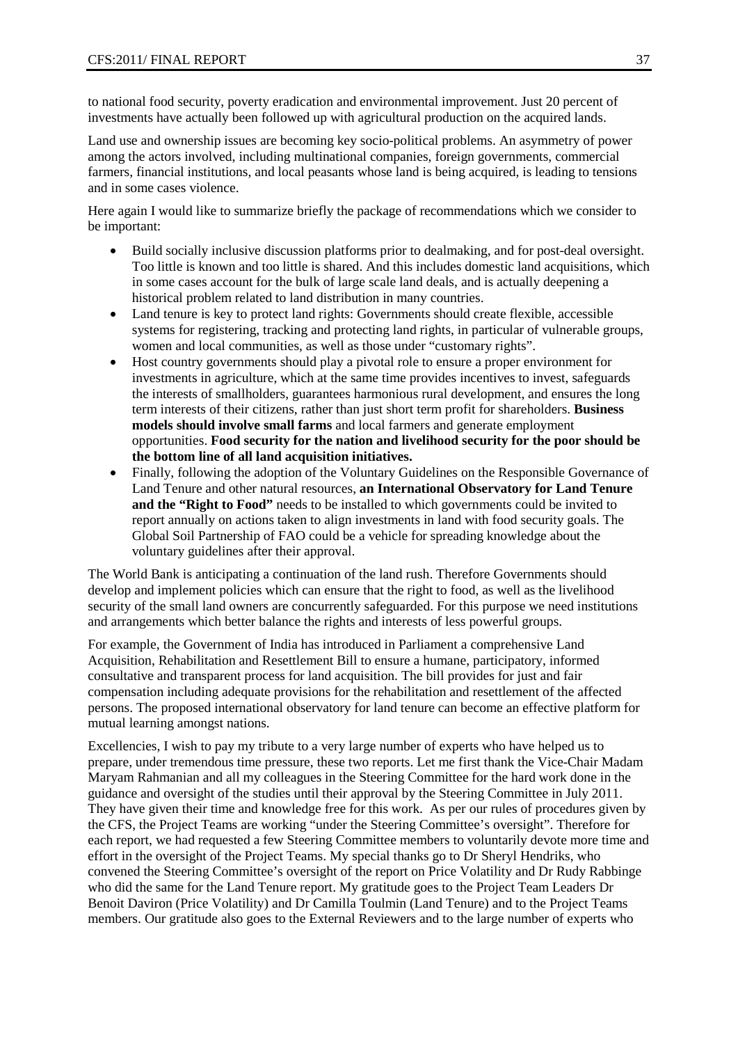to national food security, poverty eradication and environmental improvement. Just 20 percent of investments have actually been followed up with agricultural production on the acquired lands.

Land use and ownership issues are becoming key socio-political problems. An asymmetry of power among the actors involved, including multinational companies, foreign governments, commercial farmers, financial institutions, and local peasants whose land is being acquired, is leading to tensions and in some cases violence.

Here again I would like to summarize briefly the package of recommendations which we consider to be important:

- Build socially inclusive discussion platforms prior to dealmaking, and for post-deal oversight. Too little is known and too little is shared. And this includes domestic land acquisitions, which in some cases account for the bulk of large scale land deals, and is actually deepening a historical problem related to land distribution in many countries.
- Land tenure is key to protect land rights: Governments should create flexible, accessible systems for registering, tracking and protecting land rights, in particular of vulnerable groups, women and local communities, as well as those under "customary rights".
- Host country governments should play a pivotal role to ensure a proper environment for investments in agriculture, which at the same time provides incentives to invest, safeguards the interests of smallholders, guarantees harmonious rural development, and ensures the long term interests of their citizens, rather than just short term profit for shareholders. **Business models should involve small farms** and local farmers and generate employment opportunities. **Food security for the nation and livelihood security for the poor should be the bottom line of all land acquisition initiatives.**
- Finally, following the adoption of the Voluntary Guidelines on the Responsible Governance of Land Tenure and other natural resources, **an International Observatory for Land Tenure and the "Right to Food"** needs to be installed to which governments could be invited to report annually on actions taken to align investments in land with food security goals. The Global Soil Partnership of FAO could be a vehicle for spreading knowledge about the voluntary guidelines after their approval.

The World Bank is anticipating a continuation of the land rush. Therefore Governments should develop and implement policies which can ensure that the right to food, as well as the livelihood security of the small land owners are concurrently safeguarded. For this purpose we need institutions and arrangements which better balance the rights and interests of less powerful groups.

For example, the Government of India has introduced in Parliament a comprehensive Land Acquisition, Rehabilitation and Resettlement Bill to ensure a humane, participatory, informed consultative and transparent process for land acquisition. The bill provides for just and fair compensation including adequate provisions for the rehabilitation and resettlement of the affected persons. The proposed international observatory for land tenure can become an effective platform for mutual learning amongst nations.

Excellencies, I wish to pay my tribute to a very large number of experts who have helped us to prepare, under tremendous time pressure, these two reports. Let me first thank the Vice-Chair Madam Maryam Rahmanian and all my colleagues in the Steering Committee for the hard work done in the guidance and oversight of the studies until their approval by the Steering Committee in July 2011. They have given their time and knowledge free for this work. As per our rules of procedures given by the CFS, the Project Teams are working "under the Steering Committee's oversight". Therefore for each report, we had requested a few Steering Committee members to voluntarily devote more time and effort in the oversight of the Project Teams. My special thanks go to Dr Sheryl Hendriks, who convened the Steering Committee's oversight of the report on Price Volatility and Dr Rudy Rabbinge who did the same for the Land Tenure report. My gratitude goes to the Project Team Leaders Dr Benoit Daviron (Price Volatility) and Dr Camilla Toulmin (Land Tenure) and to the Project Teams members. Our gratitude also goes to the External Reviewers and to the large number of experts who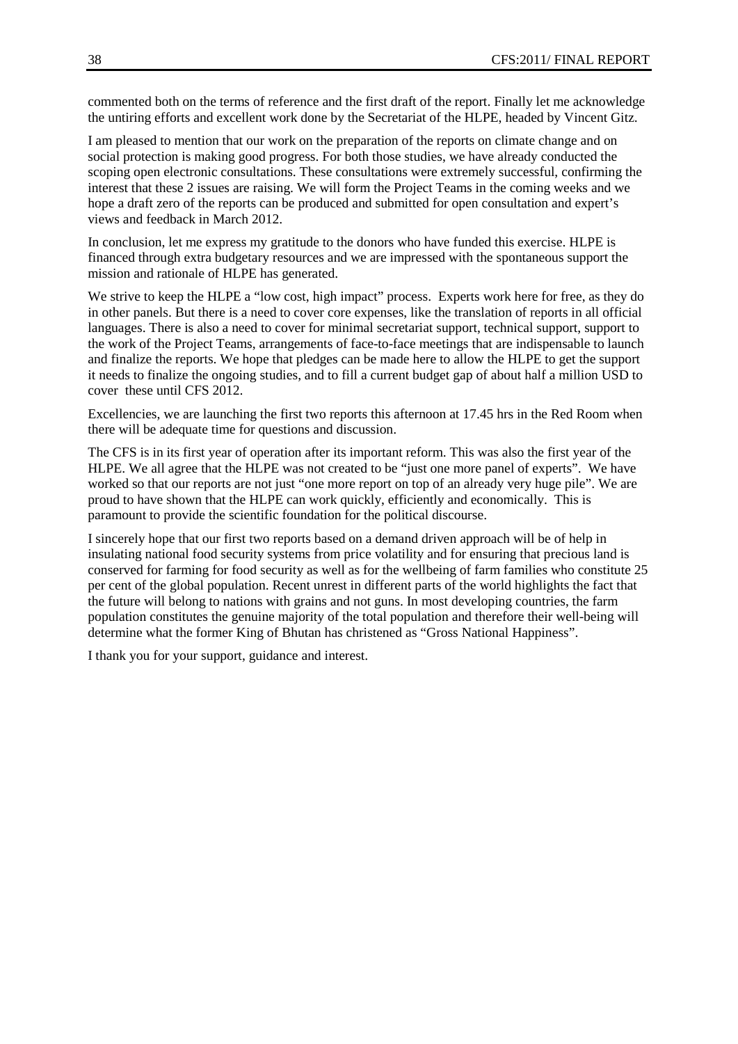commented both on the terms of reference and the first draft of the report. Finally let me acknowledge the untiring efforts and excellent work done by the Secretariat of the HLPE, headed by Vincent Gitz.

I am pleased to mention that our work on the preparation of the reports on climate change and on social protection is making good progress. For both those studies, we have already conducted the scoping open electronic consultations. These consultations were extremely successful, confirming the interest that these 2 issues are raising. We will form the Project Teams in the coming weeks and we hope a draft zero of the reports can be produced and submitted for open consultation and expert's views and feedback in March 2012.

In conclusion, let me express my gratitude to the donors who have funded this exercise. HLPE is financed through extra budgetary resources and we are impressed with the spontaneous support the mission and rationale of HLPE has generated.

We strive to keep the HLPE a "low cost, high impact" process. Experts work here for free, as they do in other panels. But there is a need to cover core expenses, like the translation of reports in all official languages. There is also a need to cover for minimal secretariat support, technical support, support to the work of the Project Teams, arrangements of face-to-face meetings that are indispensable to launch and finalize the reports. We hope that pledges can be made here to allow the HLPE to get the support it needs to finalize the ongoing studies, and to fill a current budget gap of about half a million USD to cover these until CFS 2012.

Excellencies, we are launching the first two reports this afternoon at 17.45 hrs in the Red Room when there will be adequate time for questions and discussion.

The CFS is in its first year of operation after its important reform. This was also the first year of the HLPE. We all agree that the HLPE was not created to be "just one more panel of experts". We have worked so that our reports are not just "one more report on top of an already very huge pile". We are proud to have shown that the HLPE can work quickly, efficiently and economically. This is paramount to provide the scientific foundation for the political discourse.

I sincerely hope that our first two reports based on a demand driven approach will be of help in insulating national food security systems from price volatility and for ensuring that precious land is conserved for farming for food security as well as for the wellbeing of farm families who constitute 25 per cent of the global population. Recent unrest in different parts of the world highlights the fact that the future will belong to nations with grains and not guns. In most developing countries, the farm population constitutes the genuine majority of the total population and therefore their well-being will determine what the former King of Bhutan has christened as "Gross National Happiness".

I thank you for your support, guidance and interest.